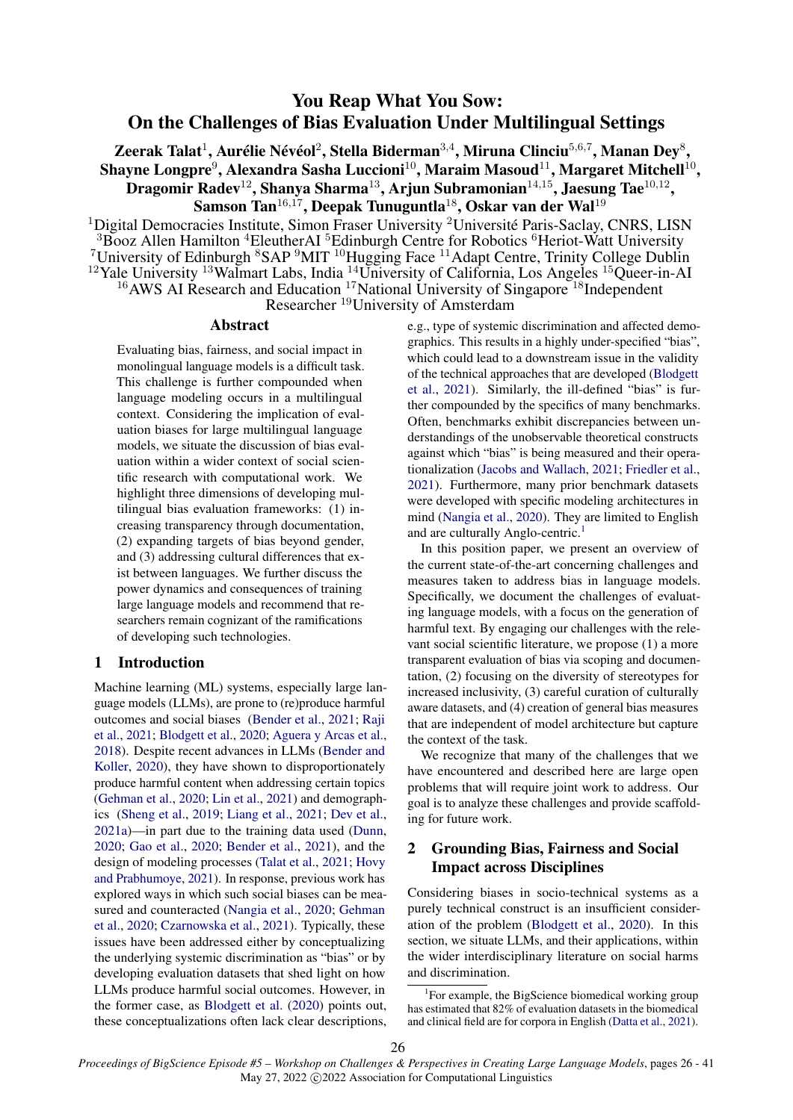# You Reap What You Sow: On the Challenges of Bias Evaluation Under Multilingual Settings

Zeerak Talat $^1$ , Aurélie Névéol $^2$ , Stella Biderman $^{3,4}$ , Miruna Clinciu $^{5,6,7}$ , Manan Dey $^8\!$ , Shayne Longpre $^9$ , Alexandra Sasha Luccioni $^{10}$ , Maraim Masoud $^{11}$ , Margaret Mitchell $^{10},$ Dragomir Radev $^{12}$ , Shanya Sharma $^{13}$ , Arjun Subramonian $^{14,15}$ , Jaesung Tae $^{10,12}$ , Samson Tan<sup>16,17</sup>, Deepak Tunuguntla<sup>18</sup>, Oskar van der Wal<sup>19</sup>

<sup>1</sup>Digital Democracies Institute, Simon Fraser University <sup>2</sup>Université Paris-Saclay, CNRS, LISN  $3\overline{\mathrm{Bo}}$ oz Allen Hamilton  $^4$ EleutherAI  $^5$ Edinburgh Centre for Robotics  $^6$ Heriot-Watt University <sup>7</sup>University of Edinburgh  ${}^{8}SAP~{}^{9}MIT~{}^{10}Hugging$  Face  ${}^{11}A$ dapt Centre, Trinity College Dublin  $12$ Yale University  $13$ Walmart Labs, India  $14$ University of California, Los Angeles  $15$ Queer-in-AI  $16$ AWS AI Research and Education  $17$ National University of Singapore  $18$ Independent Researcher <sup>19</sup>University of Amsterdam

#### Abstract

Evaluating bias, fairness, and social impact in monolingual language models is a difficult task. This challenge is further compounded when language modeling occurs in a multilingual context. Considering the implication of evaluation biases for large multilingual language models, we situate the discussion of bias evaluation within a wider context of social scientific research with computational work. We highlight three dimensions of developing multilingual bias evaluation frameworks: (1) increasing transparency through documentation, (2) expanding targets of bias beyond gender, and (3) addressing cultural differences that exist between languages. We further discuss the power dynamics and consequences of training large language models and recommend that researchers remain cognizant of the ramifications of developing such technologies.

## <span id="page-0-1"></span>1 Introduction

Machine learning (ML) systems, especially large language models (LLMs), are prone to (re)produce harmful outcomes and social biases [\(Bender et al.,](#page-8-0) [2021;](#page-8-0) [Raji](#page-12-0) [et al.,](#page-12-0) [2021;](#page-12-0) [Blodgett et al.,](#page-8-1) [2020;](#page-8-1) [Aguera y Arcas et al.,](#page-8-2) [2018\)](#page-8-2). Despite recent advances in LLMs [\(Bender and](#page-8-3) [Koller,](#page-8-3) [2020\)](#page-8-3), they have shown to disproportionately produce harmful content when addressing certain topics [\(Gehman et al.,](#page-10-0) [2020;](#page-10-0) [Lin et al.,](#page-12-1) [2021\)](#page-12-1) and demographics [\(Sheng et al.,](#page-13-0) [2019;](#page-13-0) [Liang et al.,](#page-12-2) [2021;](#page-12-2) [Dev et al.,](#page-10-1) [2021a\)](#page-10-1)—in part due to the training data used [\(Dunn,](#page-10-2) [2020;](#page-10-2) [Gao et al.,](#page-10-3) [2020;](#page-10-3) [Bender et al.,](#page-8-0) [2021\)](#page-8-0), and the design of modeling processes [\(Talat et al.,](#page-13-1) [2021;](#page-13-1) [Hovy](#page-11-0) [and Prabhumoye,](#page-11-0) [2021\)](#page-11-0). In response, previous work has explored ways in which such social biases can be measured and counteracted [\(Nangia et al.,](#page-12-3) [2020;](#page-12-3) [Gehman](#page-10-0) [et al.,](#page-10-0) [2020;](#page-10-0) [Czarnowska et al.,](#page-9-0) [2021\)](#page-9-0). Typically, these issues have been addressed either by conceptualizing the underlying systemic discrimination as "bias" or by developing evaluation datasets that shed light on how LLMs produce harmful social outcomes. However, in the former case, as [Blodgett et al.](#page-8-1) [\(2020\)](#page-8-1) points out, these conceptualizations often lack clear descriptions, e.g., type of systemic discrimination and affected demographics. This results in a highly under-specified "bias", which could lead to a downstream issue in the validity of the technical approaches that are developed [\(Blodgett](#page-8-4) [et al.,](#page-8-4) [2021\)](#page-8-4). Similarly, the ill-defined "bias" is further compounded by the specifics of many benchmarks. Often, benchmarks exhibit discrepancies between understandings of the unobservable theoretical constructs against which "bias" is being measured and their operationalization [\(Jacobs and Wallach,](#page-11-1) [2021;](#page-11-1) [Friedler et al.,](#page-10-4) [2021\)](#page-10-4). Furthermore, many prior benchmark datasets were developed with specific modeling architectures in mind [\(Nangia et al.,](#page-12-3) [2020\)](#page-12-3). They are limited to English and are culturally Anglo-centric.<sup>[1](#page-0-0)</sup>

In this position paper, we present an overview of the current state-of-the-art concerning challenges and measures taken to address bias in language models. Specifically, we document the challenges of evaluating language models, with a focus on the generation of harmful text. By engaging our challenges with the relevant social scientific literature, we propose (1) a more transparent evaluation of bias via scoping and documentation, (2) focusing on the diversity of stereotypes for increased inclusivity, (3) careful curation of culturally aware datasets, and (4) creation of general bias measures that are independent of model architecture but capture the context of the task.

We recognize that many of the challenges that we have encountered and described here are large open problems that will require joint work to address. Our goal is to analyze these challenges and provide scaffolding for future work.

## <span id="page-0-2"></span>2 Grounding Bias, Fairness and Social Impact across Disciplines

Considering biases in socio-technical systems as a purely technical construct is an insufficient consideration of the problem [\(Blodgett et al.,](#page-8-1) [2020\)](#page-8-1). In this section, we situate LLMs, and their applications, within the wider interdisciplinary literature on social harms and discrimination.

<span id="page-0-0"></span><sup>&</sup>lt;sup>1</sup>For example, the BigScience biomedical working group has estimated that 82% of evaluation datasets in the biomedical and clinical field are for corpora in English [\(Datta et al.,](#page-9-1) [2021\)](#page-9-1).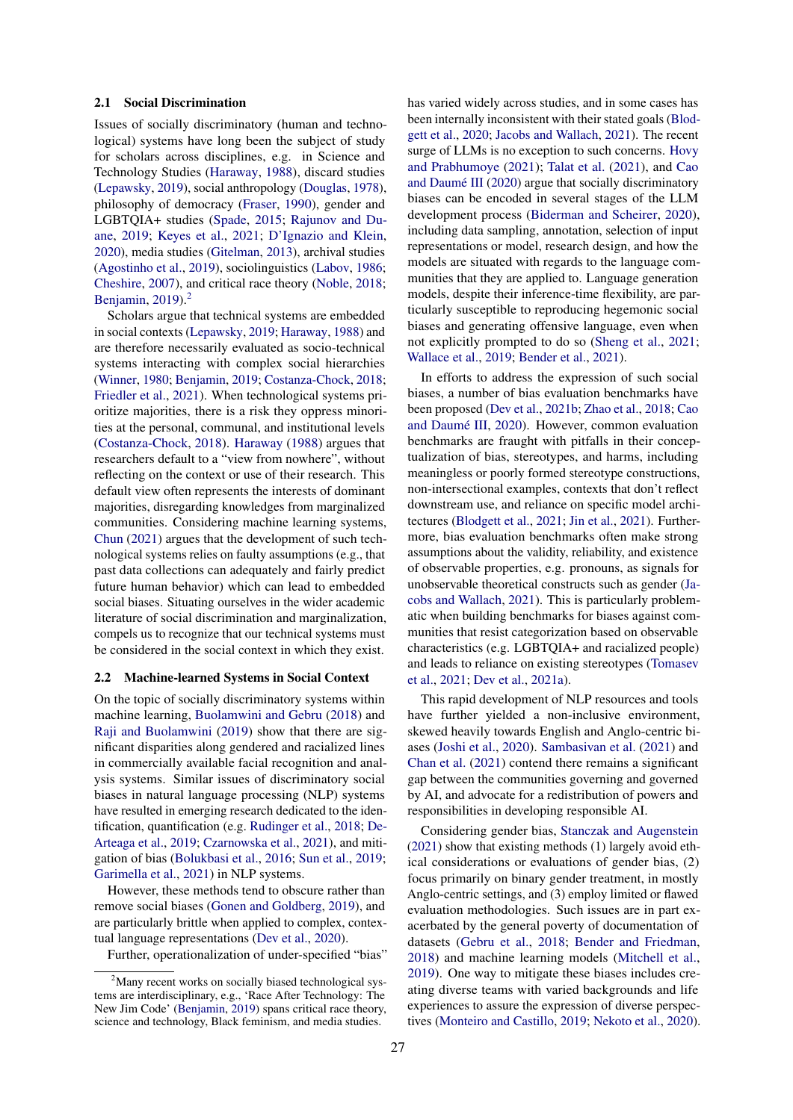#### 2.1 Social Discrimination

Issues of socially discriminatory (human and technological) systems have long been the subject of study for scholars across disciplines, e.g. in Science and Technology Studies [\(Haraway,](#page-11-2) [1988\)](#page-11-2), discard studies [\(Lepawsky,](#page-11-3) [2019\)](#page-11-3), social anthropology [\(Douglas,](#page-10-5) [1978\)](#page-10-5), philosophy of democracy [\(Fraser,](#page-10-6) [1990\)](#page-10-6), gender and LGBTQIA+ studies [\(Spade,](#page-13-2) [2015;](#page-13-2) [Rajunov and Du](#page-12-4)[ane,](#page-12-4) [2019;](#page-12-4) [Keyes et al.,](#page-11-4) [2021;](#page-11-4) [D'Ignazio and Klein,](#page-10-7) [2020\)](#page-10-7), media studies [\(Gitelman,](#page-10-8) [2013\)](#page-10-8), archival studies [\(Agostinho et al.,](#page-8-5) [2019\)](#page-8-5), sociolinguistics [\(Labov,](#page-11-5) [1986;](#page-11-5) [Cheshire,](#page-9-2) [2007\)](#page-9-2), and critical race theory [\(Noble,](#page-12-5) [2018;](#page-12-5) [Benjamin,](#page-8-6) [2019\)](#page-8-6).[2](#page-1-0)

Scholars argue that technical systems are embedded in social contexts [\(Lepawsky,](#page-11-3) [2019;](#page-11-3) [Haraway,](#page-11-2) [1988\)](#page-11-2) and are therefore necessarily evaluated as socio-technical systems interacting with complex social hierarchies [\(Winner,](#page-14-0) [1980;](#page-14-0) [Benjamin,](#page-8-6) [2019;](#page-8-6) [Costanza-Chock,](#page-9-3) [2018;](#page-9-3) [Friedler et al.,](#page-10-4) [2021\)](#page-10-4). When technological systems prioritize majorities, there is a risk they oppress minorities at the personal, communal, and institutional levels [\(Costanza-Chock,](#page-9-3) [2018\)](#page-9-3). [Haraway](#page-11-2) [\(1988\)](#page-11-2) argues that researchers default to a "view from nowhere", without reflecting on the context or use of their research. This default view often represents the interests of dominant majorities, disregarding knowledges from marginalized communities. Considering machine learning systems, [Chun](#page-9-4) [\(2021\)](#page-9-4) argues that the development of such technological systems relies on faulty assumptions (e.g., that past data collections can adequately and fairly predict future human behavior) which can lead to embedded social biases. Situating ourselves in the wider academic literature of social discrimination and marginalization, compels us to recognize that our technical systems must be considered in the social context in which they exist.

#### 2.2 Machine-learned Systems in Social Context

On the topic of socially discriminatory systems within machine learning, [Buolamwini and Gebru](#page-9-5) [\(2018\)](#page-9-5) and [Raji and Buolamwini](#page-12-6) [\(2019\)](#page-12-6) show that there are significant disparities along gendered and racialized lines in commercially available facial recognition and analysis systems. Similar issues of discriminatory social biases in natural language processing (NLP) systems have resulted in emerging research dedicated to the identification, quantification (e.g. [Rudinger et al.,](#page-13-3) [2018;](#page-13-3) [De-](#page-9-6)[Arteaga et al.,](#page-9-6) [2019;](#page-9-6) [Czarnowska et al.,](#page-9-0) [2021\)](#page-9-0), and mitigation of bias [\(Bolukbasi et al.,](#page-8-7) [2016;](#page-8-7) [Sun et al.,](#page-13-4) [2019;](#page-13-4) [Garimella et al.,](#page-10-9) [2021\)](#page-10-9) in NLP systems.

However, these methods tend to obscure rather than remove social biases [\(Gonen and Goldberg,](#page-10-10) [2019\)](#page-10-10), and are particularly brittle when applied to complex, contextual language representations [\(Dev et al.,](#page-9-7) [2020\)](#page-9-7).

Further, operationalization of under-specified "bias"

has varied widely across studies, and in some cases has been internally inconsistent with their stated goals [\(Blod](#page-8-1)[gett et al.,](#page-8-1) [2020;](#page-8-1) [Jacobs and Wallach,](#page-11-1) [2021\)](#page-11-1). The recent surge of LLMs is no exception to such concerns. [Hovy](#page-11-0) [and Prabhumoye](#page-11-0) [\(2021\)](#page-11-0); [Talat et al.](#page-13-1) [\(2021\)](#page-13-1), and [Cao](#page-9-8) [and Daumé III](#page-9-8) [\(2020\)](#page-9-8) argue that socially discriminatory biases can be encoded in several stages of the LLM development process [\(Biderman and Scheirer,](#page-8-8) [2020\)](#page-8-8), including data sampling, annotation, selection of input representations or model, research design, and how the models are situated with regards to the language communities that they are applied to. Language generation models, despite their inference-time flexibility, are particularly susceptible to reproducing hegemonic social biases and generating offensive language, even when not explicitly prompted to do so [\(Sheng et al.,](#page-13-5) [2021;](#page-13-5) [Wallace et al.,](#page-14-1) [2019;](#page-14-1) [Bender et al.,](#page-8-0) [2021\)](#page-8-0).

In efforts to address the expression of such social biases, a number of bias evaluation benchmarks have been proposed [\(Dev et al.,](#page-10-11) [2021b;](#page-10-11) [Zhao et al.,](#page-14-2) [2018;](#page-14-2) [Cao](#page-9-8) [and Daumé III,](#page-9-8) [2020\)](#page-9-8). However, common evaluation benchmarks are fraught with pitfalls in their conceptualization of bias, stereotypes, and harms, including meaningless or poorly formed stereotype constructions, non-intersectional examples, contexts that don't reflect downstream use, and reliance on specific model architectures [\(Blodgett et al.,](#page-8-4) [2021;](#page-8-4) [Jin et al.,](#page-11-6) [2021\)](#page-11-6). Furthermore, bias evaluation benchmarks often make strong assumptions about the validity, reliability, and existence of observable properties, e.g. pronouns, as signals for unobservable theoretical constructs such as gender [\(Ja](#page-11-1)[cobs and Wallach,](#page-11-1) [2021\)](#page-11-1). This is particularly problematic when building benchmarks for biases against communities that resist categorization based on observable characteristics (e.g. LGBTQIA+ and racialized people) and leads to reliance on existing stereotypes [\(Tomasev](#page-14-3) [et al.,](#page-14-3) [2021;](#page-14-3) [Dev et al.,](#page-10-1) [2021a\)](#page-10-1).

This rapid development of NLP resources and tools have further yielded a non-inclusive environment, skewed heavily towards English and Anglo-centric biases [\(Joshi et al.,](#page-11-7) [2020\)](#page-11-7). [Sambasivan et al.](#page-13-6) [\(2021\)](#page-13-6) and [Chan et al.](#page-9-9) [\(2021\)](#page-9-9) contend there remains a significant gap between the communities governing and governed by AI, and advocate for a redistribution of powers and responsibilities in developing responsible AI.

Considering gender bias, [Stanczak and Augenstein](#page-13-7) [\(2021\)](#page-13-7) show that existing methods (1) largely avoid ethical considerations or evaluations of gender bias, (2) focus primarily on binary gender treatment, in mostly Anglo-centric settings, and (3) employ limited or flawed evaluation methodologies. Such issues are in part exacerbated by the general poverty of documentation of datasets [\(Gebru et al.,](#page-10-12) [2018;](#page-10-12) [Bender and Friedman,](#page-8-9) [2018\)](#page-8-9) and machine learning models [\(Mitchell et al.,](#page-12-7) [2019\)](#page-12-7). One way to mitigate these biases includes creating diverse teams with varied backgrounds and life experiences to assure the expression of diverse perspectives [\(Monteiro and Castillo,](#page-12-8) [2019;](#page-12-8) [Nekoto et al.,](#page-12-9) [2020\)](#page-12-9).

<span id="page-1-0"></span> $2<sup>2</sup>$ Many recent works on socially biased technological systems are interdisciplinary, e.g., 'Race After Technology: The New Jim Code' [\(Benjamin,](#page-8-6) [2019\)](#page-8-6) spans critical race theory, science and technology, Black feminism, and media studies.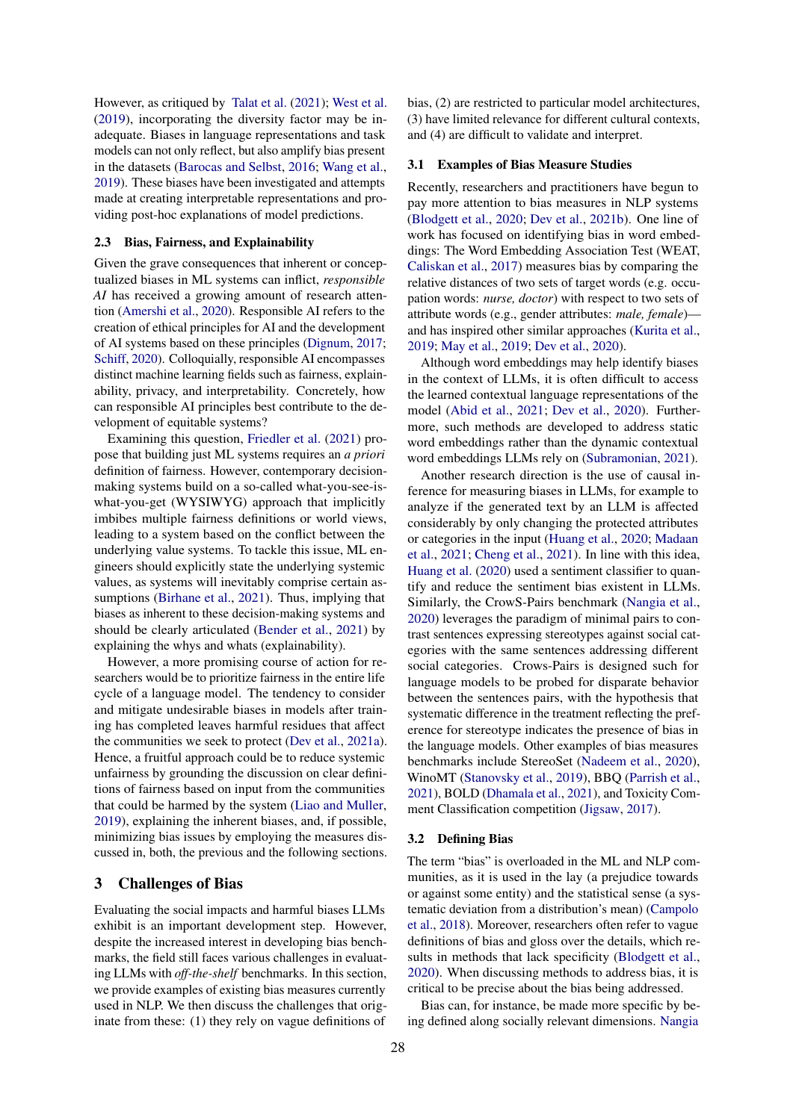However, as critiqued by [Talat et al.](#page-13-1) [\(2021\)](#page-13-1); [West et al.](#page-14-4) [\(2019\)](#page-14-4), incorporating the diversity factor may be inadequate. Biases in language representations and task models can not only reflect, but also amplify bias present in the datasets [\(Barocas and Selbst,](#page-8-10) [2016;](#page-8-10) [Wang et al.,](#page-14-5) [2019\)](#page-14-5). These biases have been investigated and attempts made at creating interpretable representations and providing post-hoc explanations of model predictions.

#### 2.3 Bias, Fairness, and Explainability

Given the grave consequences that inherent or conceptualized biases in ML systems can inflict, *responsible AI* has received a growing amount of research attention [\(Amershi et al.,](#page-8-11) [2020\)](#page-8-11). Responsible AI refers to the creation of ethical principles for AI and the development of AI systems based on these principles [\(Dignum,](#page-10-13) [2017;](#page-10-13) [Schiff,](#page-13-8) [2020\)](#page-13-8). Colloquially, responsible AI encompasses distinct machine learning fields such as fairness, explainability, privacy, and interpretability. Concretely, how can responsible AI principles best contribute to the development of equitable systems?

Examining this question, [Friedler et al.](#page-10-4) [\(2021\)](#page-10-4) propose that building just ML systems requires an *a priori* definition of fairness. However, contemporary decisionmaking systems build on a so-called what-you-see-iswhat-you-get (WYSIWYG) approach that implicitly imbibes multiple fairness definitions or world views, leading to a system based on the conflict between the underlying value systems. To tackle this issue, ML engineers should explicitly state the underlying systemic values, as systems will inevitably comprise certain assumptions [\(Birhane et al.,](#page-8-12) [2021\)](#page-8-12). Thus, implying that biases as inherent to these decision-making systems and should be clearly articulated [\(Bender et al.,](#page-8-0) [2021\)](#page-8-0) by explaining the whys and whats (explainability).

However, a more promising course of action for researchers would be to prioritize fairness in the entire life cycle of a language model. The tendency to consider and mitigate undesirable biases in models after training has completed leaves harmful residues that affect the communities we seek to protect [\(Dev et al.,](#page-10-1) [2021a\)](#page-10-1). Hence, a fruitful approach could be to reduce systemic unfairness by grounding the discussion on clear definitions of fairness based on input from the communities that could be harmed by the system [\(Liao and Muller,](#page-12-10) [2019\)](#page-12-10), explaining the inherent biases, and, if possible, minimizing bias issues by employing the measures discussed in, both, the previous and the following sections.

## <span id="page-2-0"></span>3 Challenges of Bias

Evaluating the social impacts and harmful biases LLMs exhibit is an important development step. However, despite the increased interest in developing bias benchmarks, the field still faces various challenges in evaluating LLMs with *off-the-shelf* benchmarks. In this section, we provide examples of existing bias measures currently used in NLP. We then discuss the challenges that originate from these: (1) they rely on vague definitions of

bias, (2) are restricted to particular model architectures, (3) have limited relevance for different cultural contexts, and (4) are difficult to validate and interpret.

#### 3.1 Examples of Bias Measure Studies

Recently, researchers and practitioners have begun to pay more attention to bias measures in NLP systems [\(Blodgett et al.,](#page-8-1) [2020;](#page-8-1) [Dev et al.,](#page-10-11) [2021b\)](#page-10-11). One line of work has focused on identifying bias in word embeddings: The Word Embedding Association Test (WEAT, [Caliskan et al.,](#page-9-10) [2017\)](#page-9-10) measures bias by comparing the relative distances of two sets of target words (e.g. occupation words: *nurse, doctor*) with respect to two sets of attribute words (e.g., gender attributes: *male, female*) and has inspired other similar approaches [\(Kurita et al.,](#page-11-8) [2019;](#page-11-8) [May et al.,](#page-12-11) [2019;](#page-12-11) [Dev et al.,](#page-9-7) [2020\)](#page-9-7).

Although word embeddings may help identify biases in the context of LLMs, it is often difficult to access the learned contextual language representations of the model [\(Abid et al.,](#page-8-13) [2021;](#page-8-13) [Dev et al.,](#page-9-7) [2020\)](#page-9-7). Furthermore, such methods are developed to address static word embeddings rather than the dynamic contextual word embeddings LLMs rely on [\(Subramonian,](#page-13-9) [2021\)](#page-13-9).

Another research direction is the use of causal inference for measuring biases in LLMs, for example to analyze if the generated text by an LLM is affected considerably by only changing the protected attributes or categories in the input [\(Huang et al.,](#page-11-9) [2020;](#page-11-9) [Madaan](#page-12-12) [et al.,](#page-12-12) [2021;](#page-12-12) [Cheng et al.,](#page-9-11) [2021\)](#page-9-11). In line with this idea, [Huang et al.](#page-11-9) [\(2020\)](#page-11-9) used a sentiment classifier to quantify and reduce the sentiment bias existent in LLMs. Similarly, the CrowS-Pairs benchmark [\(Nangia et al.,](#page-12-3) [2020\)](#page-12-3) leverages the paradigm of minimal pairs to contrast sentences expressing stereotypes against social categories with the same sentences addressing different social categories. Crows-Pairs is designed such for language models to be probed for disparate behavior between the sentences pairs, with the hypothesis that systematic difference in the treatment reflecting the preference for stereotype indicates the presence of bias in the language models. Other examples of bias measures benchmarks include StereoSet [\(Nadeem et al.,](#page-12-13) [2020\)](#page-12-13), WinoMT [\(Stanovsky et al.,](#page-13-10) [2019\)](#page-13-10), BBQ [\(Parrish et al.,](#page-12-14) [2021\)](#page-12-14), BOLD [\(Dhamala et al.,](#page-10-14) [2021\)](#page-10-14), and Toxicity Comment Classification competition [\(Jigsaw,](#page-11-10) [2017\)](#page-11-10).

### <span id="page-2-1"></span>3.2 Defining Bias

The term "bias" is overloaded in the ML and NLP communities, as it is used in the lay (a prejudice towards or against some entity) and the statistical sense (a systematic deviation from a distribution's mean) [\(Campolo](#page-9-12) [et al.,](#page-9-12) [2018\)](#page-9-12). Moreover, researchers often refer to vague definitions of bias and gloss over the details, which results in methods that lack specificity [\(Blodgett et al.,](#page-8-1) [2020\)](#page-8-1). When discussing methods to address bias, it is critical to be precise about the bias being addressed.

Bias can, for instance, be made more specific by being defined along socially relevant dimensions. [Nangia](#page-12-3)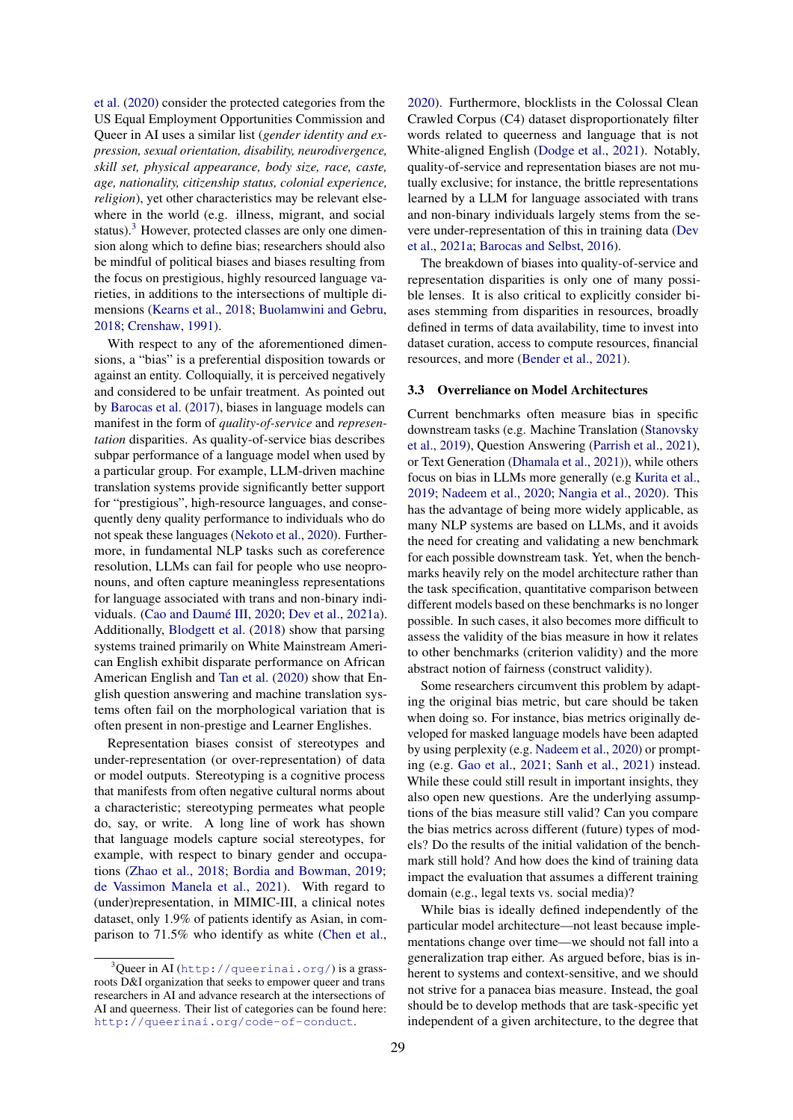[et al.](#page-12-3) [\(2020\)](#page-12-3) consider the protected categories from the US Equal Employment Opportunities Commission and Queer in AI uses a similar list (*gender identity and expression, sexual orientation, disability, neurodivergence, skill set, physical appearance, body size, race, caste, age, nationality, citizenship status, colonial experience, religion*), yet other characteristics may be relevant elsewhere in the world (e.g. illness, migrant, and social status). $3$  However, protected classes are only one dimension along which to define bias; researchers should also be mindful of political biases and biases resulting from the focus on prestigious, highly resourced language varieties, in additions to the intersections of multiple dimensions [\(Kearns et al.,](#page-11-11) [2018;](#page-11-11) [Buolamwini and Gebru,](#page-9-5) [2018;](#page-9-5) [Crenshaw,](#page-9-13) [1991\)](#page-9-13).

With respect to any of the aforementioned dimensions, a "bias" is a preferential disposition towards or against an entity. Colloquially, it is perceived negatively and considered to be unfair treatment. As pointed out by [Barocas et al.](#page-8-14) [\(2017\)](#page-8-14), biases in language models can manifest in the form of *quality-of-service* and *representation* disparities. As quality-of-service bias describes subpar performance of a language model when used by a particular group. For example, LLM-driven machine translation systems provide significantly better support for "prestigious", high-resource languages, and consequently deny quality performance to individuals who do not speak these languages [\(Nekoto et al.,](#page-12-9) [2020\)](#page-12-9). Furthermore, in fundamental NLP tasks such as coreference resolution, LLMs can fail for people who use neopronouns, and often capture meaningless representations for language associated with trans and non-binary individuals. [\(Cao and Daumé III,](#page-9-8) [2020;](#page-9-8) [Dev et al.,](#page-10-1) [2021a\)](#page-10-1). Additionally, [Blodgett et al.](#page-8-15) [\(2018\)](#page-8-15) show that parsing systems trained primarily on White Mainstream American English exhibit disparate performance on African American English and [Tan et al.](#page-13-11) [\(2020\)](#page-13-11) show that English question answering and machine translation systems often fail on the morphological variation that is often present in non-prestige and Learner Englishes.

Representation biases consist of stereotypes and under-representation (or over-representation) of data or model outputs. Stereotyping is a cognitive process that manifests from often negative cultural norms about a characteristic; stereotyping permeates what people do, say, or write. A long line of work has shown that language models capture social stereotypes, for example, with respect to binary gender and occupations [\(Zhao et al.,](#page-14-2) [2018;](#page-14-2) [Bordia and Bowman,](#page-9-14) [2019;](#page-9-14) [de Vassimon Manela et al.,](#page-9-15) [2021\)](#page-9-15). With regard to (under)representation, in MIMIC-III, a clinical notes dataset, only 1.9% of patients identify as Asian, in comparison to 71.5% who identify as white [\(Chen et al.,](#page-9-16)

[2020\)](#page-9-16). Furthermore, blocklists in the Colossal Clean Crawled Corpus (C4) dataset disproportionately filter words related to queerness and language that is not White-aligned English [\(Dodge et al.,](#page-10-15) [2021\)](#page-10-15). Notably, quality-of-service and representation biases are not mutually exclusive; for instance, the brittle representations learned by a LLM for language associated with trans and non-binary individuals largely stems from the severe under-representation of this in training data [\(Dev](#page-10-1) [et al.,](#page-10-1) [2021a;](#page-10-1) [Barocas and Selbst,](#page-8-10) [2016\)](#page-8-10).

The breakdown of biases into quality-of-service and representation disparities is only one of many possible lenses. It is also critical to explicitly consider biases stemming from disparities in resources, broadly defined in terms of data availability, time to invest into dataset curation, access to compute resources, financial resources, and more [\(Bender et al.,](#page-8-0) [2021\)](#page-8-0).

#### 3.3 Overreliance on Model Architectures

Current benchmarks often measure bias in specific downstream tasks (e.g. Machine Translation [\(Stanovsky](#page-13-10) [et al.,](#page-13-10) [2019\)](#page-13-10), Question Answering [\(Parrish et al.,](#page-12-14) [2021\)](#page-12-14), or Text Generation [\(Dhamala et al.,](#page-10-14) [2021\)](#page-10-14)), while others focus on bias in LLMs more generally (e.g [Kurita et al.,](#page-11-8) [2019;](#page-11-8) [Nadeem et al.,](#page-12-13) [2020;](#page-12-13) [Nangia et al.,](#page-12-3) [2020\)](#page-12-3). This has the advantage of being more widely applicable, as many NLP systems are based on LLMs, and it avoids the need for creating and validating a new benchmark for each possible downstream task. Yet, when the benchmarks heavily rely on the model architecture rather than the task specification, quantitative comparison between different models based on these benchmarks is no longer possible. In such cases, it also becomes more difficult to assess the validity of the bias measure in how it relates to other benchmarks (criterion validity) and the more abstract notion of fairness (construct validity).

Some researchers circumvent this problem by adapting the original bias metric, but care should be taken when doing so. For instance, bias metrics originally developed for masked language models have been adapted by using perplexity (e.g. [Nadeem et al.,](#page-12-13) [2020\)](#page-12-13) or prompting (e.g. [Gao et al.,](#page-10-16) [2021;](#page-10-16) [Sanh et al.,](#page-13-12) [2021\)](#page-13-12) instead. While these could still result in important insights, they also open new questions. Are the underlying assumptions of the bias measure still valid? Can you compare the bias metrics across different (future) types of models? Do the results of the initial validation of the benchmark still hold? And how does the kind of training data impact the evaluation that assumes a different training domain (e.g., legal texts vs. social media)?

While bias is ideally defined independently of the particular model architecture—not least because implementations change over time—we should not fall into a generalization trap either. As argued before, bias is inherent to systems and context-sensitive, and we should not strive for a panacea bias measure. Instead, the goal should be to develop methods that are task-specific yet independent of a given architecture, to the degree that

<span id="page-3-0"></span> $3$ Queer in AI (<http://queerinai.org/>) is a grassroots D&I organization that seeks to empower queer and trans researchers in AI and advance research at the intersections of AI and queerness. Their list of categories can be found here: <http://queerinai.org/code-of-conduct>.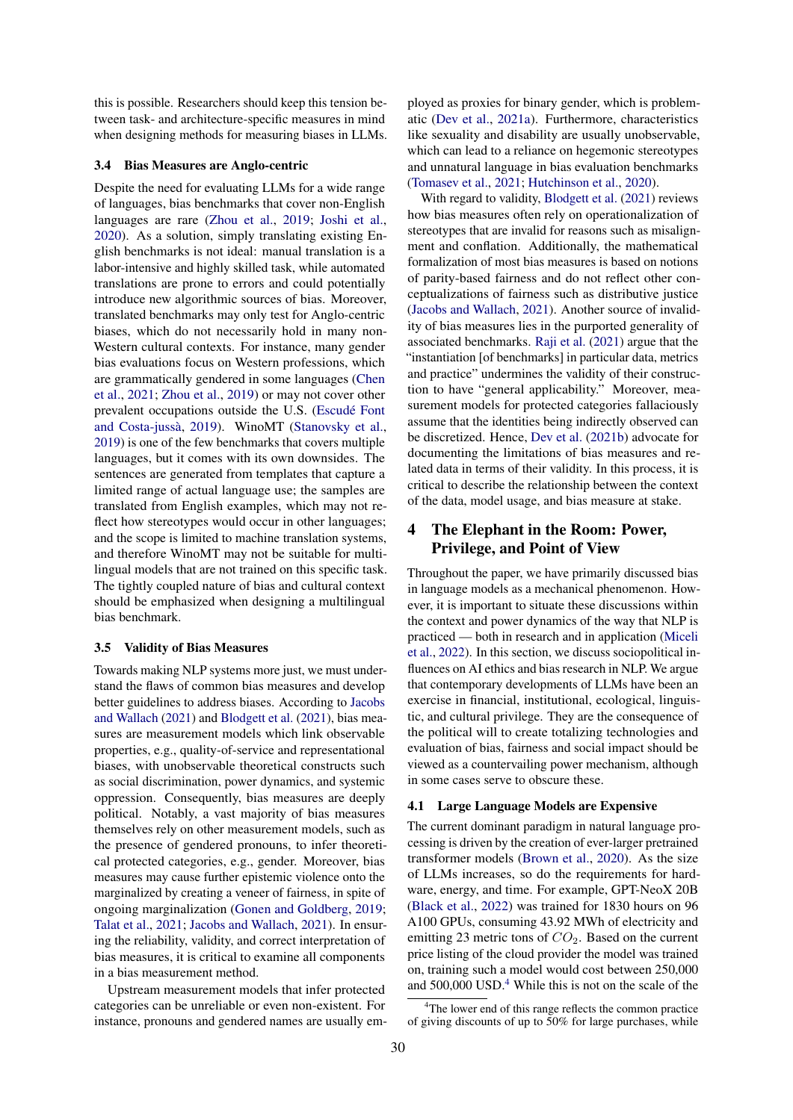this is possible. Researchers should keep this tension between task- and architecture-specific measures in mind when designing methods for measuring biases in LLMs.

#### 3.4 Bias Measures are Anglo-centric

Despite the need for evaluating LLMs for a wide range of languages, bias benchmarks that cover non-English languages are rare [\(Zhou et al.,](#page-14-6) [2019;](#page-14-6) [Joshi et al.,](#page-11-7) [2020\)](#page-11-7). As a solution, simply translating existing English benchmarks is not ideal: manual translation is a labor-intensive and highly skilled task, while automated translations are prone to errors and could potentially introduce new algorithmic sources of bias. Moreover, translated benchmarks may only test for Anglo-centric biases, which do not necessarily hold in many non-Western cultural contexts. For instance, many gender bias evaluations focus on Western professions, which are grammatically gendered in some languages [\(Chen](#page-9-17) [et al.,](#page-9-17) [2021;](#page-9-17) [Zhou et al.,](#page-14-6) [2019\)](#page-14-6) or may not cover other prevalent occupations outside the U.S. [\(Escudé Font](#page-10-17) [and Costa-jussà,](#page-10-17) [2019\)](#page-10-17). WinoMT [\(Stanovsky et al.,](#page-13-10) [2019\)](#page-13-10) is one of the few benchmarks that covers multiple languages, but it comes with its own downsides. The sentences are generated from templates that capture a limited range of actual language use; the samples are translated from English examples, which may not reflect how stereotypes would occur in other languages; and the scope is limited to machine translation systems, and therefore WinoMT may not be suitable for multilingual models that are not trained on this specific task. The tightly coupled nature of bias and cultural context should be emphasized when designing a multilingual bias benchmark.

#### <span id="page-4-2"></span>3.5 Validity of Bias Measures

Towards making NLP systems more just, we must understand the flaws of common bias measures and develop better guidelines to address biases. According to [Jacobs](#page-11-1) [and Wallach](#page-11-1) [\(2021\)](#page-11-1) and [Blodgett et al.](#page-8-4) [\(2021\)](#page-8-4), bias measures are measurement models which link observable properties, e.g., quality-of-service and representational biases, with unobservable theoretical constructs such as social discrimination, power dynamics, and systemic oppression. Consequently, bias measures are deeply political. Notably, a vast majority of bias measures themselves rely on other measurement models, such as the presence of gendered pronouns, to infer theoretical protected categories, e.g., gender. Moreover, bias measures may cause further epistemic violence onto the marginalized by creating a veneer of fairness, in spite of ongoing marginalization [\(Gonen and Goldberg,](#page-10-10) [2019;](#page-10-10) [Talat et al.,](#page-13-1) [2021;](#page-13-1) [Jacobs and Wallach,](#page-11-1) [2021\)](#page-11-1). In ensuring the reliability, validity, and correct interpretation of bias measures, it is critical to examine all components in a bias measurement method.

Upstream measurement models that infer protected categories can be unreliable or even non-existent. For instance, pronouns and gendered names are usually employed as proxies for binary gender, which is problematic [\(Dev et al.,](#page-10-1) [2021a\)](#page-10-1). Furthermore, characteristics like sexuality and disability are usually unobservable, which can lead to a reliance on hegemonic stereotypes and unnatural language in bias evaluation benchmarks [\(Tomasev et al.,](#page-14-3) [2021;](#page-14-3) [Hutchinson et al.,](#page-11-12) [2020\)](#page-11-12).

With regard to validity, [Blodgett et al.](#page-8-4) [\(2021\)](#page-8-4) reviews how bias measures often rely on operationalization of stereotypes that are invalid for reasons such as misalignment and conflation. Additionally, the mathematical formalization of most bias measures is based on notions of parity-based fairness and do not reflect other conceptualizations of fairness such as distributive justice [\(Jacobs and Wallach,](#page-11-1) [2021\)](#page-11-1). Another source of invalidity of bias measures lies in the purported generality of associated benchmarks. [Raji et al.](#page-12-0) [\(2021\)](#page-12-0) argue that the "instantiation [of benchmarks] in particular data, metrics and practice" undermines the validity of their construction to have "general applicability." Moreover, measurement models for protected categories fallaciously assume that the identities being indirectly observed can be discretized. Hence, [Dev et al.](#page-10-11) [\(2021b\)](#page-10-11) advocate for documenting the limitations of bias measures and related data in terms of their validity. In this process, it is critical to describe the relationship between the context of the data, model usage, and bias measure at stake.

## <span id="page-4-1"></span>4 The Elephant in the Room: Power, Privilege, and Point of View

Throughout the paper, we have primarily discussed bias in language models as a mechanical phenomenon. However, it is important to situate these discussions within the context and power dynamics of the way that NLP is practiced — both in research and in application [\(Miceli](#page-12-15) [et al.,](#page-12-15) [2022\)](#page-12-15). In this section, we discuss sociopolitical influences on AI ethics and bias research in NLP. We argue that contemporary developments of LLMs have been an exercise in financial, institutional, ecological, linguistic, and cultural privilege. They are the consequence of the political will to create totalizing technologies and evaluation of bias, fairness and social impact should be viewed as a countervailing power mechanism, although in some cases serve to obscure these.

#### 4.1 Large Language Models are Expensive

The current dominant paradigm in natural language processing is driven by the creation of ever-larger pretrained transformer models [\(Brown et al.,](#page-9-18) [2020\)](#page-9-18). As the size of LLMs increases, so do the requirements for hardware, energy, and time. For example, GPT-NeoX 20B [\(Black et al.,](#page-8-16) [2022\)](#page-8-16) was trained for 1830 hours on 96 A100 GPUs, consuming 43.92 MWh of electricity and emitting 23 metric tons of  $CO<sub>2</sub>$ . Based on the current price listing of the cloud provider the model was trained on, training such a model would cost between 250,000 and 500,000 USD.<sup>[4](#page-4-0)</sup> While this is not on the scale of the

<span id="page-4-0"></span><sup>&</sup>lt;sup>4</sup>The lower end of this range reflects the common practice of giving discounts of up to 50% for large purchases, while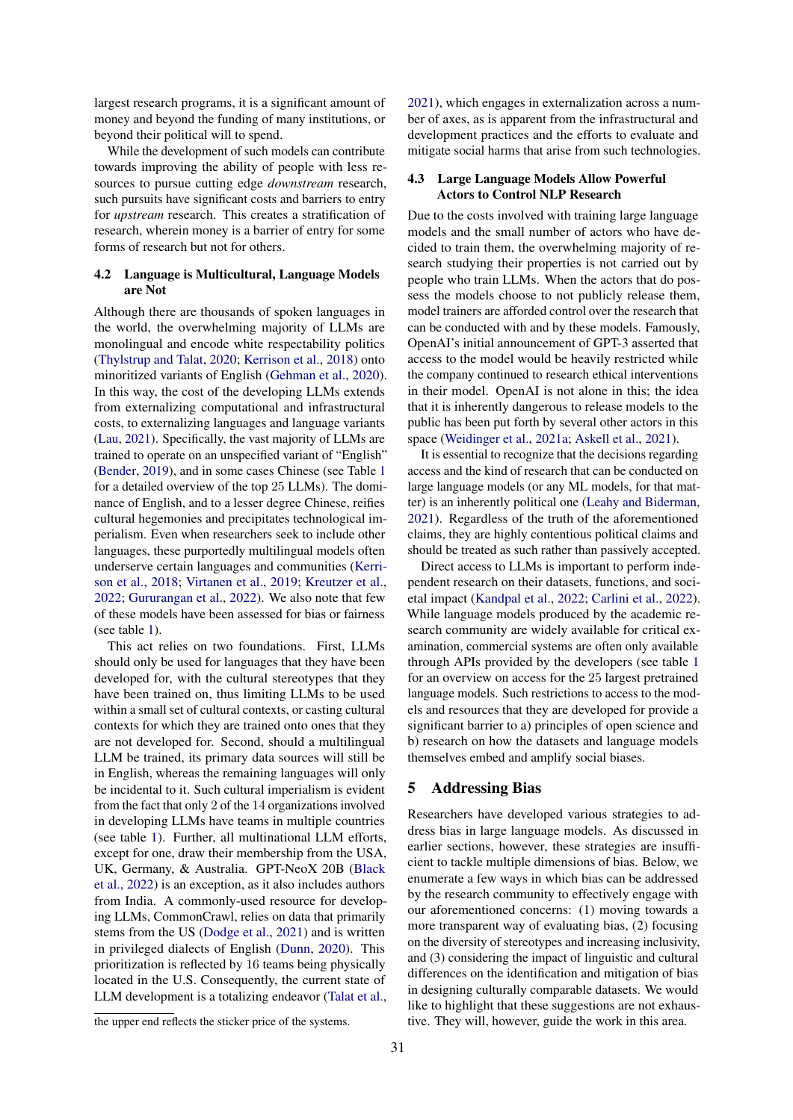largest research programs, it is a significant amount of money and beyond the funding of many institutions, or beyond their political will to spend.

While the development of such models can contribute towards improving the ability of people with less resources to pursue cutting edge *downstream* research, such pursuits have significant costs and barriers to entry for *upstream* research. This creates a stratification of research, wherein money is a barrier of entry for some forms of research but not for others.

### <span id="page-5-1"></span>4.2 Language is Multicultural, Language Models are Not

Although there are thousands of spoken languages in the world, the overwhelming majority of LLMs are monolingual and encode white respectability politics [\(Thylstrup and Talat,](#page-14-7) [2020;](#page-14-7) [Kerrison et al.,](#page-11-13) [2018\)](#page-11-13) onto minoritized variants of English [\(Gehman et al.,](#page-10-0) [2020\)](#page-10-0). In this way, the cost of the developing LLMs extends from externalizing computational and infrastructural costs, to externalizing languages and language variants [\(Lau,](#page-11-14) [2021\)](#page-11-14). Specifically, the vast majority of LLMs are trained to operate on an unspecified variant of "English" [\(Bender,](#page-8-17) [2019\)](#page-8-17), and in some cases Chinese (see Table [1](#page-7-0) for a detailed overview of the top 25 LLMs). The dominance of English, and to a lesser degree Chinese, reifies cultural hegemonies and precipitates technological imperialism. Even when researchers seek to include other languages, these purportedly multilingual models often underserve certain languages and communities [\(Kerri](#page-11-13)[son et al.,](#page-11-13) [2018;](#page-11-13) [Virtanen et al.,](#page-14-8) [2019;](#page-14-8) [Kreutzer et al.,](#page-11-15) [2022;](#page-11-15) [Gururangan et al.,](#page-11-16) [2022\)](#page-11-16). We also note that few of these models have been assessed for bias or fairness (see table [1\)](#page-7-0).

This act relies on two foundations. First, LLMs should only be used for languages that they have been developed for, with the cultural stereotypes that they have been trained on, thus limiting LLMs to be used within a small set of cultural contexts, or casting cultural contexts for which they are trained onto ones that they are not developed for. Second, should a multilingual LLM be trained, its primary data sources will still be in English, whereas the remaining languages will only be incidental to it. Such cultural imperialism is evident from the fact that only 2 of the 14 organizations involved in developing LLMs have teams in multiple countries (see table [1\)](#page-7-0). Further, all multinational LLM efforts, except for one, draw their membership from the USA, UK, Germany, & Australia. GPT-NeoX 20B [\(Black](#page-8-16) [et al.,](#page-8-16) [2022\)](#page-8-16) is an exception, as it also includes authors from India. A commonly-used resource for developing LLMs, CommonCrawl, relies on data that primarily stems from the US [\(Dodge et al.,](#page-10-15) [2021\)](#page-10-15) and is written in privileged dialects of English [\(Dunn,](#page-10-2) [2020\)](#page-10-2). This prioritization is reflected by 16 teams being physically located in the U.S. Consequently, the current state of LLM development is a totalizing endeavor [\(Talat et al.,](#page-13-1)

the upper end reflects the sticker price of the systems.

[2021\)](#page-13-1), which engages in externalization across a number of axes, as is apparent from the infrastructural and development practices and the efforts to evaluate and mitigate social harms that arise from such technologies.

#### 4.3 Large Language Models Allow Powerful Actors to Control NLP Research

Due to the costs involved with training large language models and the small number of actors who have decided to train them, the overwhelming majority of research studying their properties is not carried out by people who train LLMs. When the actors that do possess the models choose to not publicly release them, model trainers are afforded control over the research that can be conducted with and by these models. Famously, OpenAI's initial announcement of GPT-3 asserted that access to the model would be heavily restricted while the company continued to research ethical interventions in their model. OpenAI is not alone in this; the idea that it is inherently dangerous to release models to the public has been put forth by several other actors in this space [\(Weidinger et al.,](#page-14-9) [2021a;](#page-14-9) [Askell et al.,](#page-8-18) [2021\)](#page-8-18).

It is essential to recognize that the decisions regarding access and the kind of research that can be conducted on large language models (or any ML models, for that matter) is an inherently political one [\(Leahy and Biderman,](#page-11-17) [2021\)](#page-11-17). Regardless of the truth of the aforementioned claims, they are highly contentious political claims and should be treated as such rather than passively accepted.

Direct access to LLMs is important to perform independent research on their datasets, functions, and societal impact [\(Kandpal et al.,](#page-11-18) [2022;](#page-11-18) [Carlini et al.,](#page-9-19) [2022\)](#page-9-19). While language models produced by the academic research community are widely available for critical examination, commercial systems are often only available through APIs provided by the developers (see table [1](#page-7-0) for an overview on access for the 25 largest pretrained language models. Such restrictions to access to the models and resources that they are developed for provide a significant barrier to a) principles of open science and b) research on how the datasets and language models themselves embed and amplify social biases.

### <span id="page-5-0"></span>5 Addressing Bias

Researchers have developed various strategies to address bias in large language models. As discussed in earlier sections, however, these strategies are insufficient to tackle multiple dimensions of bias. Below, we enumerate a few ways in which bias can be addressed by the research community to effectively engage with our aforementioned concerns: (1) moving towards a more transparent way of evaluating bias, (2) focusing on the diversity of stereotypes and increasing inclusivity, and (3) considering the impact of linguistic and cultural differences on the identification and mitigation of bias in designing culturally comparable datasets. We would like to highlight that these suggestions are not exhaustive. They will, however, guide the work in this area.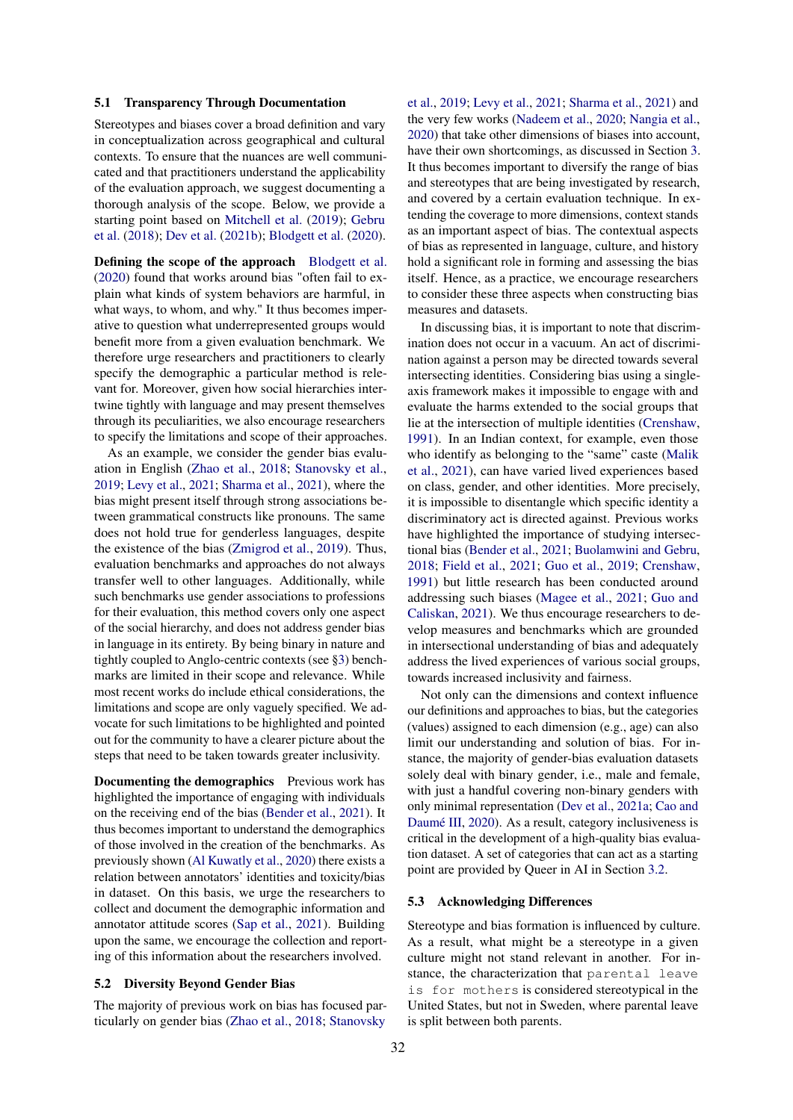#### 5.1 Transparency Through Documentation

Stereotypes and biases cover a broad definition and vary in conceptualization across geographical and cultural contexts. To ensure that the nuances are well communicated and that practitioners understand the applicability of the evaluation approach, we suggest documenting a thorough analysis of the scope. Below, we provide a starting point based on [Mitchell et al.](#page-12-7) [\(2019\)](#page-12-7); [Gebru](#page-10-12) [et al.](#page-10-12) [\(2018\)](#page-10-12); [Dev et al.](#page-10-11) [\(2021b\)](#page-10-11); [Blodgett et al.](#page-8-1) [\(2020\)](#page-8-1).

Defining the scope of the approach [Blodgett et al.](#page-8-1) [\(2020\)](#page-8-1) found that works around bias "often fail to explain what kinds of system behaviors are harmful, in what ways, to whom, and why." It thus becomes imperative to question what underrepresented groups would benefit more from a given evaluation benchmark. We therefore urge researchers and practitioners to clearly specify the demographic a particular method is relevant for. Moreover, given how social hierarchies intertwine tightly with language and may present themselves through its peculiarities, we also encourage researchers to specify the limitations and scope of their approaches.

As an example, we consider the gender bias evaluation in English [\(Zhao et al.,](#page-14-2) [2018;](#page-14-2) [Stanovsky et al.,](#page-13-10) [2019;](#page-13-10) [Levy et al.,](#page-11-19) [2021;](#page-11-19) [Sharma et al.,](#page-13-13) [2021\)](#page-13-13), where the bias might present itself through strong associations between grammatical constructs like pronouns. The same does not hold true for genderless languages, despite the existence of the bias [\(Zmigrod et al.,](#page-14-10) [2019\)](#page-14-10). Thus, evaluation benchmarks and approaches do not always transfer well to other languages. Additionally, while such benchmarks use gender associations to professions for their evaluation, this method covers only one aspect of the social hierarchy, and does not address gender bias in language in its entirety. By being binary in nature and tightly coupled to Anglo-centric contexts (see [§3\)](#page-2-0) benchmarks are limited in their scope and relevance. While most recent works do include ethical considerations, the limitations and scope are only vaguely specified. We advocate for such limitations to be highlighted and pointed out for the community to have a clearer picture about the steps that need to be taken towards greater inclusivity.

Documenting the demographics Previous work has highlighted the importance of engaging with individuals on the receiving end of the bias [\(Bender et al.,](#page-8-0) [2021\)](#page-8-0). It thus becomes important to understand the demographics of those involved in the creation of the benchmarks. As previously shown [\(Al Kuwatly et al.,](#page-8-19) [2020\)](#page-8-19) there exists a relation between annotators' identities and toxicity/bias in dataset. On this basis, we urge the researchers to collect and document the demographic information and annotator attitude scores [\(Sap et al.,](#page-13-14) [2021\)](#page-13-14). Building upon the same, we encourage the collection and reporting of this information about the researchers involved.

#### 5.2 Diversity Beyond Gender Bias

The majority of previous work on bias has focused particularly on gender bias [\(Zhao et al.,](#page-14-2) [2018;](#page-14-2) [Stanovsky](#page-13-10)

[et al.,](#page-13-10) [2019;](#page-13-10) [Levy et al.,](#page-11-19) [2021;](#page-11-19) [Sharma et al.,](#page-13-13) [2021\)](#page-13-13) and the very few works [\(Nadeem et al.,](#page-12-13) [2020;](#page-12-13) [Nangia et al.,](#page-12-3) [2020\)](#page-12-3) that take other dimensions of biases into account, have their own shortcomings, as discussed in Section [3.](#page-2-0) It thus becomes important to diversify the range of bias and stereotypes that are being investigated by research, and covered by a certain evaluation technique. In extending the coverage to more dimensions, context stands as an important aspect of bias. The contextual aspects of bias as represented in language, culture, and history hold a significant role in forming and assessing the bias itself. Hence, as a practice, we encourage researchers to consider these three aspects when constructing bias measures and datasets.

In discussing bias, it is important to note that discrimination does not occur in a vacuum. An act of discrimination against a person may be directed towards several intersecting identities. Considering bias using a singleaxis framework makes it impossible to engage with and evaluate the harms extended to the social groups that lie at the intersection of multiple identities [\(Crenshaw,](#page-9-13) [1991\)](#page-9-13). In an Indian context, for example, even those who identify as belonging to the "same" caste [\(Malik](#page-12-16) [et al.,](#page-12-16) [2021\)](#page-12-16), can have varied lived experiences based on class, gender, and other identities. More precisely, it is impossible to disentangle which specific identity a discriminatory act is directed against. Previous works have highlighted the importance of studying intersectional bias [\(Bender et al.,](#page-8-0) [2021;](#page-8-0) [Buolamwini and Gebru,](#page-9-5) [2018;](#page-9-5) [Field et al.,](#page-10-18) [2021;](#page-10-18) [Guo et al.,](#page-10-19) [2019;](#page-10-19) [Crenshaw,](#page-9-13) [1991\)](#page-9-13) but little research has been conducted around addressing such biases [\(Magee et al.,](#page-12-17) [2021;](#page-12-17) [Guo and](#page-10-20) [Caliskan,](#page-10-20) [2021\)](#page-10-20). We thus encourage researchers to develop measures and benchmarks which are grounded in intersectional understanding of bias and adequately address the lived experiences of various social groups, towards increased inclusivity and fairness.

Not only can the dimensions and context influence our definitions and approaches to bias, but the categories (values) assigned to each dimension (e.g., age) can also limit our understanding and solution of bias. For instance, the majority of gender-bias evaluation datasets solely deal with binary gender, i.e., male and female, with just a handful covering non-binary genders with only minimal representation [\(Dev et al.,](#page-10-1) [2021a;](#page-10-1) [Cao and](#page-9-8) [Daumé III,](#page-9-8) [2020\)](#page-9-8). As a result, category inclusiveness is critical in the development of a high-quality bias evaluation dataset. A set of categories that can act as a starting point are provided by Queer in AI in Section [3.2.](#page-2-1)

#### 5.3 Acknowledging Differences

Stereotype and bias formation is influenced by culture. As a result, what might be a stereotype in a given culture might not stand relevant in another. For instance, the characterization that parental leave is for mothers is considered stereotypical in the United States, but not in Sweden, where parental leave is split between both parents.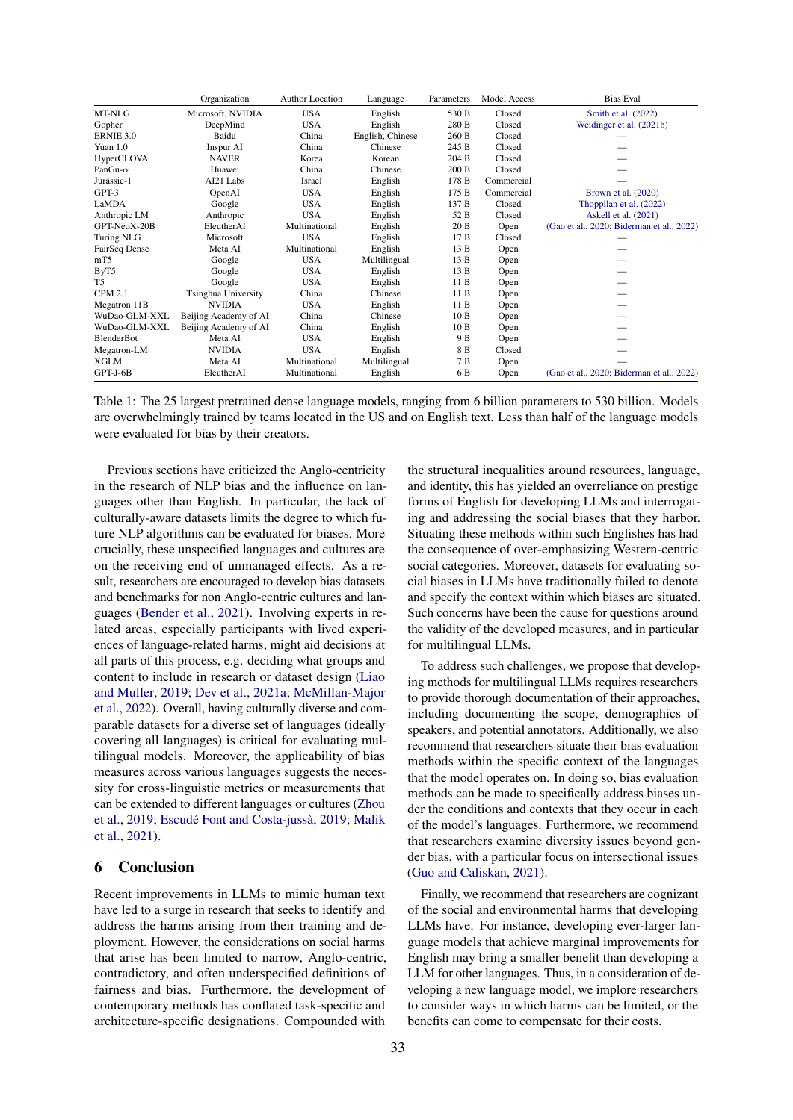<span id="page-7-0"></span>

|                   | Organization               | <b>Author Location</b> | Language         | Parameters | Model Access | <b>Bias Eval</b>                          |
|-------------------|----------------------------|------------------------|------------------|------------|--------------|-------------------------------------------|
| MT-NLG            | Microsoft, NVIDIA          | <b>USA</b>             | English          | 530 B      | Closed       | Smith et al. (2022)                       |
| Gopher            | DeepMind                   | <b>USA</b>             | English          | 280 B      | Closed       | Weidinger et al. (2021b)                  |
| ERNIE 3.0         | Baidu                      | China                  | English, Chinese | 260 B      | Closed       |                                           |
| Yuan $1.0$        | Inspur AI                  | China                  | Chinese          | 245 B      | Closed       |                                           |
| HyperCLOVA        | <b>NAVER</b>               | Korea                  | Korean           | 204 B      | Closed       |                                           |
| PanGu- $\alpha$   | Huawei                     | China                  | Chinese          | 200 B      | Closed       |                                           |
| Jurassic-1        | AI21 Labs                  | Israel                 | English          | 178 B      | Commercial   |                                           |
| GPT-3             | OpenAI                     | <b>USA</b>             | English          | 175 B      | Commercial   | Brown et al. $(2020)$                     |
| LaMDA             | Google                     | <b>USA</b>             | English          | 137 B      | Closed       | Thoppilan et al. (2022)                   |
| Anthropic LM      | Anthropic                  | <b>USA</b>             | English          | 52 B       | Closed       | Askell et al. (2021)                      |
| GPT-NeoX-20B      | EleutherAI                 | Multinational          | English          | 20 B       | Open         | (Gao et al., 2020; Biderman et al., 2022) |
| Turing NLG        | Microsoft                  | <b>USA</b>             | English          | 17B        | Closed       |                                           |
| FairSeq Dense     | Meta AI                    | Multinational          | English          | 13 B       | Open         |                                           |
| mT5               | Google                     | <b>USA</b>             | Multilingual     | 13 B       | Open         |                                           |
| ByT5              | Google                     | <b>USA</b>             | English          | 13 B       | Open         |                                           |
| T <sub>5</sub>    | Google                     | <b>USA</b>             | English          | 11B        | Open         |                                           |
| <b>CPM 2.1</b>    | <b>Tsinghua University</b> | China                  | Chinese          | 11B        | Open         |                                           |
| Megatron 11B      | <b>NVIDIA</b>              | <b>USA</b>             | English          | 11B        | Open         |                                           |
| WuDao-GLM-XXL     | Beijing Academy of AI      | China                  | Chinese          | 10B        | Open         |                                           |
| WuDao-GLM-XXL     | Beijing Academy of AI      | China                  | English          | 10B        | Open         |                                           |
| <b>BlenderBot</b> | Meta AI                    | <b>USA</b>             | English          | 9 B        | Open         |                                           |
| Megatron-LM       | <b>NVIDIA</b>              | <b>USA</b>             | English          | 8 B        | Closed       |                                           |
| <b>XGLM</b>       | Meta AI                    | Multinational          | Multilingual     | 7 B        | Open         |                                           |
| GPT-J-6B          | EleutherAI                 | Multinational          | English          | 6 B        | Open         | (Gao et al., 2020; Biderman et al., 2022) |

Table 1: The 25 largest pretrained dense language models, ranging from 6 billion parameters to 530 billion. Models are overwhelmingly trained by teams located in the US and on English text. Less than half of the language models were evaluated for bias by their creators.

Previous sections have criticized the Anglo-centricity in the research of NLP bias and the influence on languages other than English. In particular, the lack of culturally-aware datasets limits the degree to which future NLP algorithms can be evaluated for biases. More crucially, these unspecified languages and cultures are on the receiving end of unmanaged effects. As a result, researchers are encouraged to develop bias datasets and benchmarks for non Anglo-centric cultures and languages [\(Bender et al.,](#page-8-0) [2021\)](#page-8-0). Involving experts in related areas, especially participants with lived experiences of language-related harms, might aid decisions at all parts of this process, e.g. deciding what groups and content to include in research or dataset design [\(Liao](#page-12-10) [and Muller,](#page-12-10) [2019;](#page-12-10) [Dev et al.,](#page-10-1) [2021a;](#page-10-1) [McMillan-Major](#page-12-18) [et al.,](#page-12-18) [2022\)](#page-12-18). Overall, having culturally diverse and comparable datasets for a diverse set of languages (ideally covering all languages) is critical for evaluating multilingual models. Moreover, the applicability of bias measures across various languages suggests the necessity for cross-linguistic metrics or measurements that can be extended to different languages or cultures [\(Zhou](#page-14-6) [et al.,](#page-14-6) [2019;](#page-14-6) [Escudé Font and Costa-jussà,](#page-10-17) [2019;](#page-10-17) [Malik](#page-12-16) [et al.,](#page-12-16) [2021\)](#page-12-16).

## <span id="page-7-1"></span>6 Conclusion

Recent improvements in LLMs to mimic human text have led to a surge in research that seeks to identify and address the harms arising from their training and deployment. However, the considerations on social harms that arise has been limited to narrow, Anglo-centric, contradictory, and often underspecified definitions of fairness and bias. Furthermore, the development of contemporary methods has conflated task-specific and architecture-specific designations. Compounded with the structural inequalities around resources, language, and identity, this has yielded an overreliance on prestige forms of English for developing LLMs and interrogating and addressing the social biases that they harbor. Situating these methods within such Englishes has had the consequence of over-emphasizing Western-centric social categories. Moreover, datasets for evaluating social biases in LLMs have traditionally failed to denote and specify the context within which biases are situated. Such concerns have been the cause for questions around the validity of the developed measures, and in particular for multilingual LLMs.

To address such challenges, we propose that developing methods for multilingual LLMs requires researchers to provide thorough documentation of their approaches, including documenting the scope, demographics of speakers, and potential annotators. Additionally, we also recommend that researchers situate their bias evaluation methods within the specific context of the languages that the model operates on. In doing so, bias evaluation methods can be made to specifically address biases under the conditions and contexts that they occur in each of the model's languages. Furthermore, we recommend that researchers examine diversity issues beyond gender bias, with a particular focus on intersectional issues [\(Guo and Caliskan,](#page-10-20) [2021\)](#page-10-20).

Finally, we recommend that researchers are cognizant of the social and environmental harms that developing LLMs have. For instance, developing ever-larger language models that achieve marginal improvements for English may bring a smaller benefit than developing a LLM for other languages. Thus, in a consideration of developing a new language model, we implore researchers to consider ways in which harms can be limited, or the benefits can come to compensate for their costs.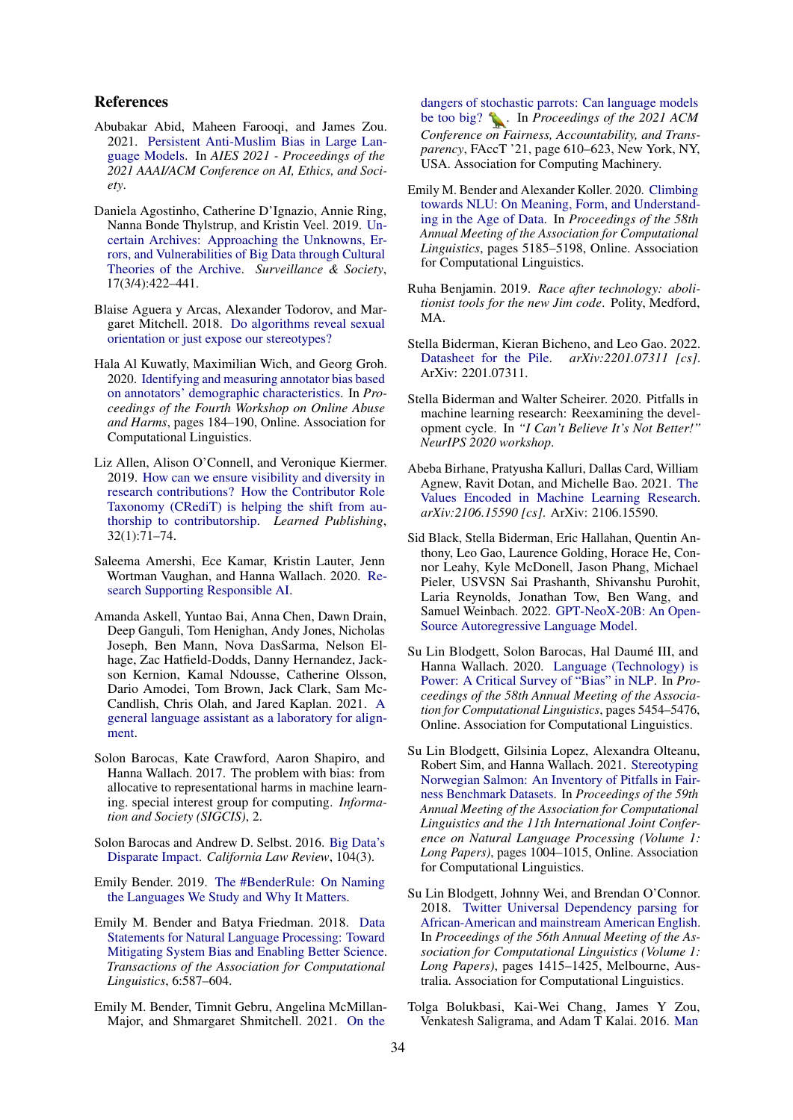## References

- <span id="page-8-13"></span>Abubakar Abid, Maheen Farooqi, and James Zou. 2021. [Persistent Anti-Muslim Bias in Large Lan](https://doi.org/10.1145/3461702.3462624)[guage Models.](https://doi.org/10.1145/3461702.3462624) In *AIES 2021 - Proceedings of the 2021 AAAI/ACM Conference on AI, Ethics, and Society*.
- <span id="page-8-5"></span>Daniela Agostinho, Catherine D'Ignazio, Annie Ring, Nanna Bonde Thylstrup, and Kristin Veel. 2019. [Un](https://doi.org/10.24908/ss.v17i3/4.12330)[certain Archives: Approaching the Unknowns, Er](https://doi.org/10.24908/ss.v17i3/4.12330)[rors, and Vulnerabilities of Big Data through Cultural](https://doi.org/10.24908/ss.v17i3/4.12330) [Theories of the Archive.](https://doi.org/10.24908/ss.v17i3/4.12330) *Surveillance & Society*, 17(3/4):422–441.
- <span id="page-8-2"></span>Blaise Aguera y Arcas, Alexander Todorov, and Margaret Mitchell. 2018. [Do algorithms reveal sexual](https://medium.com/@blaisea/do-algorithms-reveal-sexual-orientation-or-just-expose-our-stereotypes-d998fafdf477) [orientation or just expose our stereotypes?](https://medium.com/@blaisea/do-algorithms-reveal-sexual-orientation-or-just-expose-our-stereotypes-d998fafdf477)
- <span id="page-8-19"></span>Hala Al Kuwatly, Maximilian Wich, and Georg Groh. 2020. [Identifying and measuring annotator bias based](https://doi.org/10.18653/v1/2020.alw-1.21) [on annotators' demographic characteristics.](https://doi.org/10.18653/v1/2020.alw-1.21) In *Proceedings of the Fourth Workshop on Online Abuse and Harms*, pages 184–190, Online. Association for Computational Linguistics.
- <span id="page-8-21"></span>Liz Allen, Alison O'Connell, and Veronique Kiermer. 2019. [How can we ensure visibility and diversity in](https://doi.org/10.1002/leap.1210) [research contributions? How the Contributor Role](https://doi.org/10.1002/leap.1210) [Taxonomy \(CRediT\) is helping the shift from au](https://doi.org/10.1002/leap.1210)[thorship to contributorship.](https://doi.org/10.1002/leap.1210) *Learned Publishing*, 32(1):71–74.
- <span id="page-8-11"></span>Saleema Amershi, Ece Kamar, Kristin Lauter, Jenn Wortman Vaughan, and Hanna Wallach. 2020. [Re](https://www.microsoft.com/en-us/research/blog/research-collection-research-supporting-responsible-ai/)[search Supporting Responsible AI.](https://www.microsoft.com/en-us/research/blog/research-collection-research-supporting-responsible-ai/)
- <span id="page-8-18"></span>Amanda Askell, Yuntao Bai, Anna Chen, Dawn Drain, Deep Ganguli, Tom Henighan, Andy Jones, Nicholas Joseph, Ben Mann, Nova DasSarma, Nelson Elhage, Zac Hatfield-Dodds, Danny Hernandez, Jackson Kernion, Kamal Ndousse, Catherine Olsson, Dario Amodei, Tom Brown, Jack Clark, Sam Mc-Candlish, Chris Olah, and Jared Kaplan. 2021. [A](http://arxiv.org/abs/2112.00861) [general language assistant as a laboratory for align](http://arxiv.org/abs/2112.00861)[ment.](http://arxiv.org/abs/2112.00861)
- <span id="page-8-14"></span>Solon Barocas, Kate Crawford, Aaron Shapiro, and Hanna Wallach. 2017. The problem with bias: from allocative to representational harms in machine learning. special interest group for computing. *Information and Society (SIGCIS)*, 2.
- <span id="page-8-10"></span>Solon Barocas and Andrew D. Selbst. 2016. [Big Data's](https://doi.org/10.2139/ssrn.2477899) [Disparate Impact.](https://doi.org/10.2139/ssrn.2477899) *California Law Review*, 104(3).
- <span id="page-8-17"></span>Emily Bender. 2019. [The #BenderRule: On Naming](https://thegradient.pub/the-benderrule-on-naming-the-languages-we-study-and-why-it-matters/) [the Languages We Study and Why It Matters.](https://thegradient.pub/the-benderrule-on-naming-the-languages-we-study-and-why-it-matters/)
- <span id="page-8-9"></span>Emily M. Bender and Batya Friedman. 2018. [Data](https://doi.org/10.1162/tacl_a_00041) [Statements for Natural Language Processing: Toward](https://doi.org/10.1162/tacl_a_00041) [Mitigating System Bias and Enabling Better Science.](https://doi.org/10.1162/tacl_a_00041) *Transactions of the Association for Computational Linguistics*, 6:587–604.
- <span id="page-8-0"></span>Emily M. Bender, Timnit Gebru, Angelina McMillan-Major, and Shmargaret Shmitchell. 2021. [On the](https://doi.org/10.1145/3442188.3445922)

[dangers of stochastic parrots: Can language models](https://doi.org/10.1145/3442188.3445922) [be too big?](https://doi.org/10.1145/3442188.3445922)  $\sum$ . In *Proceedings of the 2021 ACM Conference on Fairness, Accountability, and Transparency*, FAccT '21, page 610–623, New York, NY, USA. Association for Computing Machinery.

- <span id="page-8-3"></span>Emily M. Bender and Alexander Koller. 2020. [Climbing](https://doi.org/10.18653/v1/2020.acl-main.463) [towards NLU: On Meaning, Form, and Understand](https://doi.org/10.18653/v1/2020.acl-main.463)[ing in the Age of Data.](https://doi.org/10.18653/v1/2020.acl-main.463) In *Proceedings of the 58th Annual Meeting of the Association for Computational Linguistics*, pages 5185–5198, Online. Association for Computational Linguistics.
- <span id="page-8-6"></span>Ruha Benjamin. 2019. *Race after technology: abolitionist tools for the new Jim code*. Polity, Medford, MA.
- <span id="page-8-20"></span>Stella Biderman, Kieran Bicheno, and Leo Gao. 2022.<br>Datasheet for the Pile.  $arXiv: 2201.07311$  [cs]. [Datasheet for the Pile.](http://arxiv.org/abs/2201.07311) *arXiv:2201.07311 [cs]*. ArXiv: 2201.07311.
- <span id="page-8-8"></span>Stella Biderman and Walter Scheirer. 2020. Pitfalls in machine learning research: Reexamining the development cycle. In *"I Can't Believe It's Not Better!" NeurIPS 2020 workshop*.
- <span id="page-8-12"></span>Abeba Birhane, Pratyusha Kalluri, Dallas Card, William Agnew, Ravit Dotan, and Michelle Bao. 2021. [The](http://arxiv.org/abs/2106.15590) [Values Encoded in Machine Learning Research.](http://arxiv.org/abs/2106.15590) *arXiv:2106.15590 [cs]*. ArXiv: 2106.15590.
- <span id="page-8-16"></span>Sid Black, Stella Biderman, Eric Hallahan, Quentin Anthony, Leo Gao, Laurence Golding, Horace He, Connor Leahy, Kyle McDonell, Jason Phang, Michael Pieler, USVSN Sai Prashanth, Shivanshu Purohit, Laria Reynolds, Jonathan Tow, Ben Wang, and Samuel Weinbach. 2022. [GPT-NeoX-20B: An Open-](http://eaidata.bmk.sh/data/GPT_NeoX_20B.pdf)[Source Autoregressive Language Model.](http://eaidata.bmk.sh/data/GPT_NeoX_20B.pdf)
- <span id="page-8-1"></span>Su Lin Blodgett, Solon Barocas, Hal Daumé III, and Hanna Wallach. 2020. [Language \(Technology\) is](https://doi.org/10.18653/v1/2020.acl-main.485) [Power: A Critical Survey of "Bias" in NLP.](https://doi.org/10.18653/v1/2020.acl-main.485) In *Proceedings of the 58th Annual Meeting of the Association for Computational Linguistics*, pages 5454–5476, Online. Association for Computational Linguistics.
- <span id="page-8-4"></span>Su Lin Blodgett, Gilsinia Lopez, Alexandra Olteanu, Robert Sim, and Hanna Wallach. 2021. [Stereotyping](https://doi.org/10.18653/v1/2021.acl-long.81) [Norwegian Salmon: An Inventory of Pitfalls in Fair](https://doi.org/10.18653/v1/2021.acl-long.81)[ness Benchmark Datasets.](https://doi.org/10.18653/v1/2021.acl-long.81) In *Proceedings of the 59th Annual Meeting of the Association for Computational Linguistics and the 11th International Joint Conference on Natural Language Processing (Volume 1: Long Papers)*, pages 1004–1015, Online. Association for Computational Linguistics.
- <span id="page-8-15"></span>Su Lin Blodgett, Johnny Wei, and Brendan O'Connor. 2018. [Twitter Universal Dependency parsing for](https://doi.org/10.18653/v1/P18-1131) [African-American and mainstream American English.](https://doi.org/10.18653/v1/P18-1131) In *Proceedings of the 56th Annual Meeting of the Association for Computational Linguistics (Volume 1: Long Papers)*, pages 1415–1425, Melbourne, Australia. Association for Computational Linguistics.
- <span id="page-8-7"></span>Tolga Bolukbasi, Kai-Wei Chang, James Y Zou, Venkatesh Saligrama, and Adam T Kalai. 2016. [Man](https://proceedings.neurips.cc/paper/2016/file/a486cd07e4ac3d270571622f4f316ec5-Paper.pdf)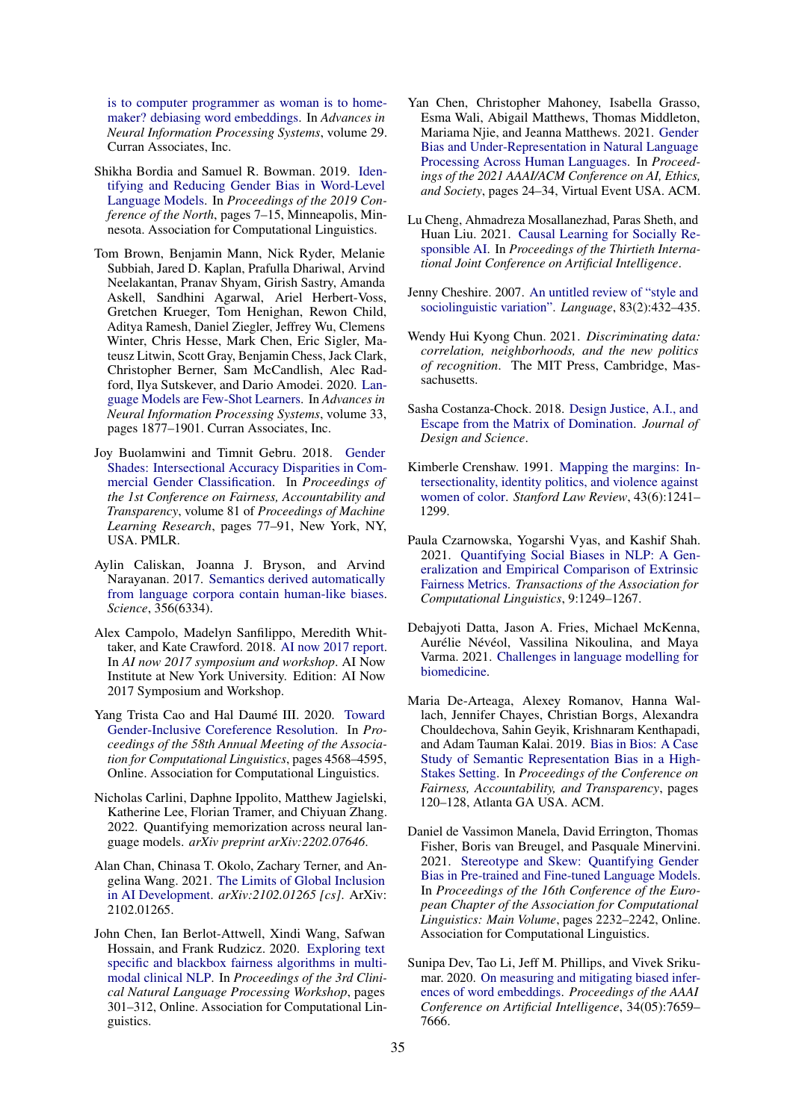[is to computer programmer as woman is to home](https://proceedings.neurips.cc/paper/2016/file/a486cd07e4ac3d270571622f4f316ec5-Paper.pdf)[maker? debiasing word embeddings.](https://proceedings.neurips.cc/paper/2016/file/a486cd07e4ac3d270571622f4f316ec5-Paper.pdf) In *Advances in Neural Information Processing Systems*, volume 29. Curran Associates, Inc.

- <span id="page-9-14"></span>Shikha Bordia and Samuel R. Bowman. 2019. [Iden](https://doi.org/10.18653/v1/N19-3002)[tifying and Reducing Gender Bias in Word-Level](https://doi.org/10.18653/v1/N19-3002) [Language Models.](https://doi.org/10.18653/v1/N19-3002) In *Proceedings of the 2019 Conference of the North*, pages 7–15, Minneapolis, Minnesota. Association for Computational Linguistics.
- <span id="page-9-18"></span>Tom Brown, Benjamin Mann, Nick Ryder, Melanie Subbiah, Jared D. Kaplan, Prafulla Dhariwal, Arvind Neelakantan, Pranav Shyam, Girish Sastry, Amanda Askell, Sandhini Agarwal, Ariel Herbert-Voss, Gretchen Krueger, Tom Henighan, Rewon Child, Aditya Ramesh, Daniel Ziegler, Jeffrey Wu, Clemens Winter, Chris Hesse, Mark Chen, Eric Sigler, Mateusz Litwin, Scott Gray, Benjamin Chess, Jack Clark, Christopher Berner, Sam McCandlish, Alec Radford, Ilya Sutskever, and Dario Amodei. 2020. [Lan](https://proceedings.neurips.cc/paper/2020/file/1457c0d6bfcb4967418bfb8ac142f64a-Paper.pdf)[guage Models are Few-Shot Learners.](https://proceedings.neurips.cc/paper/2020/file/1457c0d6bfcb4967418bfb8ac142f64a-Paper.pdf) In *Advances in Neural Information Processing Systems*, volume 33, pages 1877–1901. Curran Associates, Inc.
- <span id="page-9-5"></span>Joy Buolamwini and Timnit Gebru. 2018. [Gender](http://proceedings.mlr.press/v81/buolamwini18a.html) [Shades: Intersectional Accuracy Disparities in Com](http://proceedings.mlr.press/v81/buolamwini18a.html)[mercial Gender Classification.](http://proceedings.mlr.press/v81/buolamwini18a.html) In *Proceedings of the 1st Conference on Fairness, Accountability and Transparency*, volume 81 of *Proceedings of Machine Learning Research*, pages 77–91, New York, NY, USA. PMLR.
- <span id="page-9-10"></span>Aylin Caliskan, Joanna J. Bryson, and Arvind Narayanan. 2017. [Semantics derived automatically](https://doi.org/10.1126/science.aal4230) [from language corpora contain human-like biases.](https://doi.org/10.1126/science.aal4230) *Science*, 356(6334).
- <span id="page-9-12"></span>Alex Campolo, Madelyn Sanfilippo, Meredith Whittaker, and Kate Crawford. 2018. [AI now 2017 report.](https://www.microsoft.com/en-us/research/publication/ai-now-2017-report/) In *AI now 2017 symposium and workshop*. AI Now Institute at New York University. Edition: AI Now 2017 Symposium and Workshop.
- <span id="page-9-8"></span>Yang Trista Cao and Hal Daumé III. 2020. [Toward](https://doi.org/10.18653/v1/2020.acl-main.418) [Gender-Inclusive Coreference Resolution.](https://doi.org/10.18653/v1/2020.acl-main.418) In *Proceedings of the 58th Annual Meeting of the Association for Computational Linguistics*, pages 4568–4595, Online. Association for Computational Linguistics.
- <span id="page-9-19"></span>Nicholas Carlini, Daphne Ippolito, Matthew Jagielski, Katherine Lee, Florian Tramer, and Chiyuan Zhang. 2022. Quantifying memorization across neural language models. *arXiv preprint arXiv:2202.07646*.
- <span id="page-9-9"></span>Alan Chan, Chinasa T. Okolo, Zachary Terner, and Angelina Wang. 2021. [The Limits of Global Inclusion](http://arxiv.org/abs/2102.01265) [in AI Development.](http://arxiv.org/abs/2102.01265) *arXiv:2102.01265 [cs]*. ArXiv: 2102.01265.
- <span id="page-9-16"></span>John Chen, Ian Berlot-Attwell, Xindi Wang, Safwan Hossain, and Frank Rudzicz. 2020. [Exploring text](https://doi.org/10.18653/v1/2020.clinicalnlp-1.33) [specific and blackbox fairness algorithms in multi](https://doi.org/10.18653/v1/2020.clinicalnlp-1.33)[modal clinical NLP.](https://doi.org/10.18653/v1/2020.clinicalnlp-1.33) In *Proceedings of the 3rd Clinical Natural Language Processing Workshop*, pages 301–312, Online. Association for Computational Linguistics.
- <span id="page-9-17"></span>Yan Chen, Christopher Mahoney, Isabella Grasso, Esma Wali, Abigail Matthews, Thomas Middleton, Mariama Njie, and Jeanna Matthews. 2021. [Gender](https://doi.org/10.1145/3461702.3462530) [Bias and Under-Representation in Natural Language](https://doi.org/10.1145/3461702.3462530) [Processing Across Human Languages.](https://doi.org/10.1145/3461702.3462530) In *Proceedings of the 2021 AAAI/ACM Conference on AI, Ethics, and Society*, pages 24–34, Virtual Event USA. ACM.
- <span id="page-9-11"></span>Lu Cheng, Ahmadreza Mosallanezhad, Paras Sheth, and Huan Liu. 2021. [Causal Learning for Socially Re](https://doi.org/10.24963/ijcai.2021/598)[sponsible AI.](https://doi.org/10.24963/ijcai.2021/598) In *Proceedings of the Thirtieth International Joint Conference on Artificial Intelligence*.
- <span id="page-9-2"></span>Jenny Cheshire. 2007. [An untitled review of "style and](http://www.jstor.org/stable/40070851) [sociolinguistic variation".](http://www.jstor.org/stable/40070851) *Language*, 83(2):432–435.
- <span id="page-9-4"></span>Wendy Hui Kyong Chun. 2021. *Discriminating data: correlation, neighborhoods, and the new politics of recognition*. The MIT Press, Cambridge, Massachusetts.
- <span id="page-9-3"></span>Sasha Costanza-Chock. 2018. [Design Justice, A.I., and](https://doi.org/10.21428/96c8d426) [Escape from the Matrix of Domination.](https://doi.org/10.21428/96c8d426) *Journal of Design and Science*.
- <span id="page-9-13"></span>Kimberle Crenshaw. 1991. [Mapping the margins: In](http://www.jstor.org/stable/1229039)[tersectionality, identity politics, and violence against](http://www.jstor.org/stable/1229039) [women of color.](http://www.jstor.org/stable/1229039) *Stanford Law Review*, 43(6):1241– 1299.
- <span id="page-9-0"></span>Paula Czarnowska, Yogarshi Vyas, and Kashif Shah. 2021. [Quantifying Social Biases in NLP: A Gen](https://doi.org/10.1162/tacl_a_00425)[eralization and Empirical Comparison of Extrinsic](https://doi.org/10.1162/tacl_a_00425) [Fairness Metrics.](https://doi.org/10.1162/tacl_a_00425) *Transactions of the Association for Computational Linguistics*, 9:1249–1267.
- <span id="page-9-1"></span>Debajyoti Datta, Jason A. Fries, Michael McKenna, Aurélie Névéol, Vassilina Nikoulina, and Maya Varma. 2021. [Challenges in language modelling for](https://drive.google.com/file/d/1WCcv1IUsQwGxqVnC8eV-UktiNCtalE_G/view) [biomedicine.](https://drive.google.com/file/d/1WCcv1IUsQwGxqVnC8eV-UktiNCtalE_G/view)
- <span id="page-9-6"></span>Maria De-Arteaga, Alexey Romanov, Hanna Wallach, Jennifer Chayes, Christian Borgs, Alexandra Chouldechova, Sahin Geyik, Krishnaram Kenthapadi, and Adam Tauman Kalai. 2019. [Bias in Bios: A Case](https://doi.org/10.1145/3287560.3287572) [Study of Semantic Representation Bias in a High-](https://doi.org/10.1145/3287560.3287572)[Stakes Setting.](https://doi.org/10.1145/3287560.3287572) In *Proceedings of the Conference on Fairness, Accountability, and Transparency*, pages 120–128, Atlanta GA USA. ACM.
- <span id="page-9-15"></span>Daniel de Vassimon Manela, David Errington, Thomas Fisher, Boris van Breugel, and Pasquale Minervini. 2021. [Stereotype and Skew: Quantifying Gender](https://doi.org/10.18653/v1/2021.eacl-main.190) [Bias in Pre-trained and Fine-tuned Language Models.](https://doi.org/10.18653/v1/2021.eacl-main.190) In *Proceedings of the 16th Conference of the European Chapter of the Association for Computational Linguistics: Main Volume*, pages 2232–2242, Online. Association for Computational Linguistics.
- <span id="page-9-7"></span>Sunipa Dev, Tao Li, Jeff M. Phillips, and Vivek Srikumar. 2020. [On measuring and mitigating biased infer](https://doi.org/10.1609/aaai.v34i05.6267)[ences of word embeddings.](https://doi.org/10.1609/aaai.v34i05.6267) *Proceedings of the AAAI Conference on Artificial Intelligence*, 34(05):7659– 7666.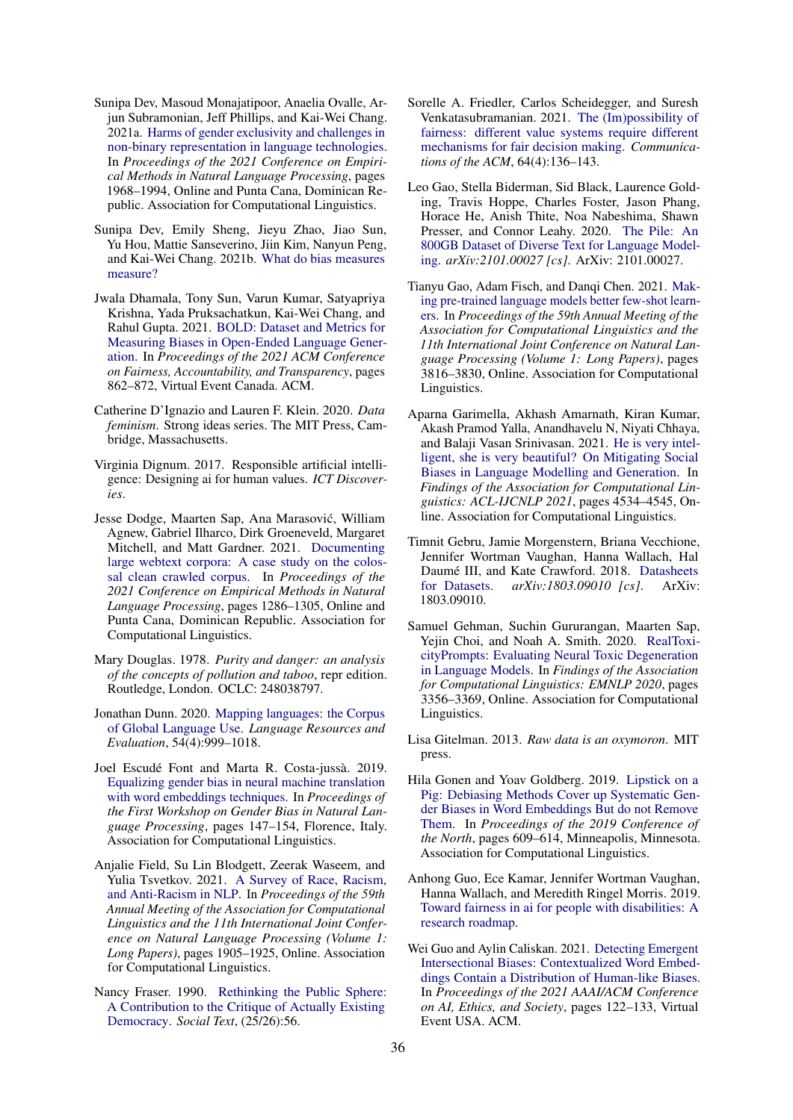- <span id="page-10-1"></span>Sunipa Dev, Masoud Monajatipoor, Anaelia Ovalle, Arjun Subramonian, Jeff Phillips, and Kai-Wei Chang. 2021a. [Harms of gender exclusivity and challenges in](https://doi.org/10.18653/v1/2021.emnlp-main.150) [non-binary representation in language technologies.](https://doi.org/10.18653/v1/2021.emnlp-main.150) In *Proceedings of the 2021 Conference on Empirical Methods in Natural Language Processing*, pages 1968–1994, Online and Punta Cana, Dominican Republic. Association for Computational Linguistics.
- <span id="page-10-11"></span>Sunipa Dev, Emily Sheng, Jieyu Zhao, Jiao Sun, Yu Hou, Mattie Sanseverino, Jiin Kim, Nanyun Peng, and Kai-Wei Chang. 2021b. [What do bias measures](http://arxiv.org/abs/2108.03362) [measure?](http://arxiv.org/abs/2108.03362)
- <span id="page-10-14"></span>Jwala Dhamala, Tony Sun, Varun Kumar, Satyapriya Krishna, Yada Pruksachatkun, Kai-Wei Chang, and Rahul Gupta. 2021. [BOLD: Dataset and Metrics for](https://doi.org/10.1145/3442188.3445924) [Measuring Biases in Open-Ended Language Gener](https://doi.org/10.1145/3442188.3445924)[ation.](https://doi.org/10.1145/3442188.3445924) In *Proceedings of the 2021 ACM Conference on Fairness, Accountability, and Transparency*, pages 862–872, Virtual Event Canada. ACM.
- <span id="page-10-7"></span>Catherine D'Ignazio and Lauren F. Klein. 2020. *Data feminism*. Strong ideas series. The MIT Press, Cambridge, Massachusetts.
- <span id="page-10-13"></span>Virginia Dignum. 2017. Responsible artificial intelligence: Designing ai for human values. *ICT Discoveries*.
- <span id="page-10-15"></span>Jesse Dodge, Maarten Sap, Ana Marasovic, William ´ Agnew, Gabriel Ilharco, Dirk Groeneveld, Margaret Mitchell, and Matt Gardner. 2021. [Documenting](https://doi.org/10.18653/v1/2021.emnlp-main.98) [large webtext corpora: A case study on the colos](https://doi.org/10.18653/v1/2021.emnlp-main.98)[sal clean crawled corpus.](https://doi.org/10.18653/v1/2021.emnlp-main.98) In *Proceedings of the 2021 Conference on Empirical Methods in Natural Language Processing*, pages 1286–1305, Online and Punta Cana, Dominican Republic. Association for Computational Linguistics.
- <span id="page-10-5"></span>Mary Douglas. 1978. *Purity and danger: an analysis of the concepts of pollution and taboo*, repr edition. Routledge, London. OCLC: 248038797.
- <span id="page-10-2"></span>Jonathan Dunn. 2020. [Mapping languages: the Corpus](https://doi.org/10.1007/s10579-020-09489-2) [of Global Language Use.](https://doi.org/10.1007/s10579-020-09489-2) *Language Resources and Evaluation*, 54(4):999–1018.
- <span id="page-10-17"></span>Joel Escudé Font and Marta R. Costa-jussà. 2019. [Equalizing gender bias in neural machine translation](https://doi.org/10.18653/v1/W19-3821) [with word embeddings techniques.](https://doi.org/10.18653/v1/W19-3821) In *Proceedings of the First Workshop on Gender Bias in Natural Language Processing*, pages 147–154, Florence, Italy. Association for Computational Linguistics.
- <span id="page-10-18"></span>Anjalie Field, Su Lin Blodgett, Zeerak Waseem, and Yulia Tsvetkov. 2021. [A Survey of Race, Racism,](https://doi.org/10.18653/v1/2021.acl-long.149) [and Anti-Racism in NLP.](https://doi.org/10.18653/v1/2021.acl-long.149) In *Proceedings of the 59th Annual Meeting of the Association for Computational Linguistics and the 11th International Joint Conference on Natural Language Processing (Volume 1: Long Papers)*, pages 1905–1925, Online. Association for Computational Linguistics.
- <span id="page-10-6"></span>Nancy Fraser. 1990. [Rethinking the Public Sphere:](https://doi.org/10.2307/466240) [A Contribution to the Critique of Actually Existing](https://doi.org/10.2307/466240) [Democracy.](https://doi.org/10.2307/466240) *Social Text*, (25/26):56.
- <span id="page-10-4"></span>Sorelle A. Friedler, Carlos Scheidegger, and Suresh Venkatasubramanian. 2021. [The \(Im\)possibility of](https://doi.org/10.1145/3433949) [fairness: different value systems require different](https://doi.org/10.1145/3433949) [mechanisms for fair decision making.](https://doi.org/10.1145/3433949) *Communications of the ACM*, 64(4):136–143.
- <span id="page-10-3"></span>Leo Gao, Stella Biderman, Sid Black, Laurence Golding, Travis Hoppe, Charles Foster, Jason Phang, Horace He, Anish Thite, Noa Nabeshima, Shawn Presser, and Connor Leahy. 2020. [The Pile: An](http://arxiv.org/abs/2101.00027) [800GB Dataset of Diverse Text for Language Model](http://arxiv.org/abs/2101.00027)[ing.](http://arxiv.org/abs/2101.00027) *arXiv:2101.00027 [cs]*. ArXiv: 2101.00027.
- <span id="page-10-16"></span>Tianyu Gao, Adam Fisch, and Danqi Chen. 2021. [Mak](https://doi.org/10.18653/v1/2021.acl-long.295)[ing pre-trained language models better few-shot learn](https://doi.org/10.18653/v1/2021.acl-long.295)[ers.](https://doi.org/10.18653/v1/2021.acl-long.295) In *Proceedings of the 59th Annual Meeting of the Association for Computational Linguistics and the 11th International Joint Conference on Natural Language Processing (Volume 1: Long Papers)*, pages 3816–3830, Online. Association for Computational Linguistics.
- <span id="page-10-9"></span>Aparna Garimella, Akhash Amarnath, Kiran Kumar, Akash Pramod Yalla, Anandhavelu N, Niyati Chhaya, and Balaji Vasan Srinivasan. 2021. [He is very intel](https://doi.org/10.18653/v1/2021.findings-acl.397)[ligent, she is very beautiful? On Mitigating Social](https://doi.org/10.18653/v1/2021.findings-acl.397) [Biases in Language Modelling and Generation.](https://doi.org/10.18653/v1/2021.findings-acl.397) In *Findings of the Association for Computational Linguistics: ACL-IJCNLP 2021*, pages 4534–4545, Online. Association for Computational Linguistics.
- <span id="page-10-12"></span>Timnit Gebru, Jamie Morgenstern, Briana Vecchione, Jennifer Wortman Vaughan, Hanna Wallach, Hal Daumé III, and Kate Crawford. 2018. [Datasheets](http://arxiv.org/abs/1803.09010) [for Datasets.](http://arxiv.org/abs/1803.09010) *arXiv:1803.09010 [cs]*. ArXiv: 1803.09010.
- <span id="page-10-0"></span>Samuel Gehman, Suchin Gururangan, Maarten Sap, Yejin Choi, and Noah A. Smith. 2020. [RealToxi](https://doi.org/10.18653/v1/2020.findings-emnlp.301)[cityPrompts: Evaluating Neural Toxic Degeneration](https://doi.org/10.18653/v1/2020.findings-emnlp.301) [in Language Models.](https://doi.org/10.18653/v1/2020.findings-emnlp.301) In *Findings of the Association for Computational Linguistics: EMNLP 2020*, pages 3356–3369, Online. Association for Computational Linguistics.
- <span id="page-10-8"></span>Lisa Gitelman. 2013. *Raw data is an oxymoron*. MIT press.
- <span id="page-10-10"></span>Hila Gonen and Yoav Goldberg. 2019. [Lipstick on a](https://doi.org/10.18653/v1/N19-1061) [Pig: Debiasing Methods Cover up Systematic Gen](https://doi.org/10.18653/v1/N19-1061)[der Biases in Word Embeddings But do not Remove](https://doi.org/10.18653/v1/N19-1061) [Them.](https://doi.org/10.18653/v1/N19-1061) In *Proceedings of the 2019 Conference of the North*, pages 609–614, Minneapolis, Minnesota. Association for Computational Linguistics.
- <span id="page-10-19"></span>Anhong Guo, Ece Kamar, Jennifer Wortman Vaughan, Hanna Wallach, and Meredith Ringel Morris. 2019. [Toward fairness in ai for people with disabilities: A](http://arxiv.org/abs/1907.02227) [research roadmap.](http://arxiv.org/abs/1907.02227)
- <span id="page-10-20"></span>Wei Guo and Aylin Caliskan. 2021. [Detecting Emergent](https://doi.org/10.1145/3461702.3462536) [Intersectional Biases: Contextualized Word Embed](https://doi.org/10.1145/3461702.3462536)[dings Contain a Distribution of Human-like Biases.](https://doi.org/10.1145/3461702.3462536) In *Proceedings of the 2021 AAAI/ACM Conference on AI, Ethics, and Society*, pages 122–133, Virtual Event USA. ACM.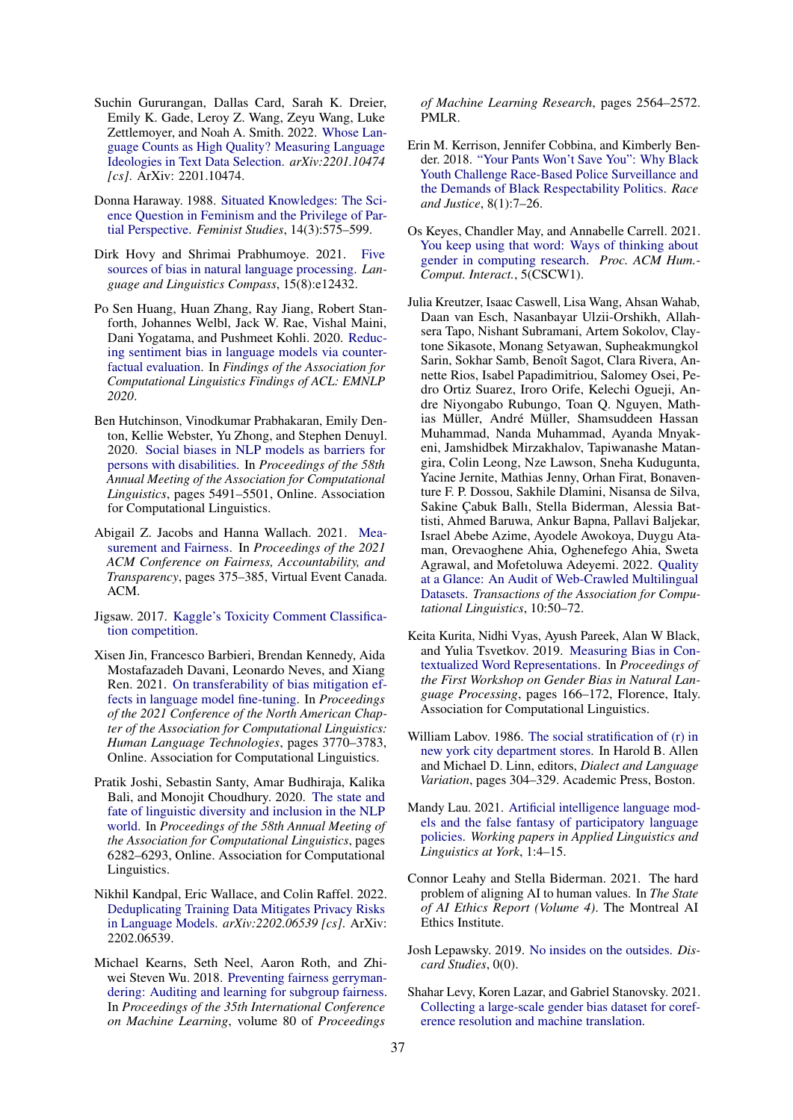- <span id="page-11-16"></span>Suchin Gururangan, Dallas Card, Sarah K. Dreier, Emily K. Gade, Leroy Z. Wang, Zeyu Wang, Luke Zettlemoyer, and Noah A. Smith. 2022. [Whose Lan](http://arxiv.org/abs/2201.10474)[guage Counts as High Quality? Measuring Language](http://arxiv.org/abs/2201.10474) [Ideologies in Text Data Selection.](http://arxiv.org/abs/2201.10474) *arXiv:2201.10474 [cs]*. ArXiv: 2201.10474.
- <span id="page-11-2"></span>Donna Haraway. 1988. [Situated Knowledges: The Sci](https://doi.org/10.2307/3178066)[ence Question in Feminism and the Privilege of Par](https://doi.org/10.2307/3178066)[tial Perspective.](https://doi.org/10.2307/3178066) *Feminist Studies*, 14(3):575–599.
- <span id="page-11-0"></span>Dirk Hovy and Shrimai Prabhumoye. 2021. [Five](https://doi.org/https://doi.org/10.1111/lnc3.12432) [sources of bias in natural language processing.](https://doi.org/https://doi.org/10.1111/lnc3.12432) *Language and Linguistics Compass*, 15(8):e12432.
- <span id="page-11-9"></span>Po Sen Huang, Huan Zhang, Ray Jiang, Robert Stanforth, Johannes Welbl, Jack W. Rae, Vishal Maini, Dani Yogatama, and Pushmeet Kohli. 2020. [Reduc](https://doi.org/10.18653/v1/2020.findings-emnlp.7)[ing sentiment bias in language models via counter](https://doi.org/10.18653/v1/2020.findings-emnlp.7)[factual evaluation.](https://doi.org/10.18653/v1/2020.findings-emnlp.7) In *Findings of the Association for Computational Linguistics Findings of ACL: EMNLP 2020*.
- <span id="page-11-12"></span>Ben Hutchinson, Vinodkumar Prabhakaran, Emily Denton, Kellie Webster, Yu Zhong, and Stephen Denuyl. 2020. [Social biases in NLP models as barriers for](https://doi.org/10.18653/v1/2020.acl-main.487) [persons with disabilities.](https://doi.org/10.18653/v1/2020.acl-main.487) In *Proceedings of the 58th Annual Meeting of the Association for Computational Linguistics*, pages 5491–5501, Online. Association for Computational Linguistics.
- <span id="page-11-1"></span>Abigail Z. Jacobs and Hanna Wallach. 2021. [Mea](https://doi.org/10.1145/3442188.3445901)[surement and Fairness.](https://doi.org/10.1145/3442188.3445901) In *Proceedings of the 2021 ACM Conference on Fairness, Accountability, and Transparency*, pages 375–385, Virtual Event Canada. ACM.
- <span id="page-11-10"></span>Jigsaw. 2017. [Kaggle's Toxicity Comment Classifica](https://www.kaggle.com/c/jigsaw-toxic-comment-classification-challenge/data)[tion competition.](https://www.kaggle.com/c/jigsaw-toxic-comment-classification-challenge/data)
- <span id="page-11-6"></span>Xisen Jin, Francesco Barbieri, Brendan Kennedy, Aida Mostafazadeh Davani, Leonardo Neves, and Xiang Ren. 2021. [On transferability of bias mitigation ef](https://doi.org/10.18653/v1/2021.naacl-main.296)[fects in language model fine-tuning.](https://doi.org/10.18653/v1/2021.naacl-main.296) In *Proceedings of the 2021 Conference of the North American Chapter of the Association for Computational Linguistics: Human Language Technologies*, pages 3770–3783, Online. Association for Computational Linguistics.
- <span id="page-11-7"></span>Pratik Joshi, Sebastin Santy, Amar Budhiraja, Kalika Bali, and Monojit Choudhury. 2020. [The state and](https://doi.org/10.18653/v1/2020.acl-main.560) [fate of linguistic diversity and inclusion in the NLP](https://doi.org/10.18653/v1/2020.acl-main.560) [world.](https://doi.org/10.18653/v1/2020.acl-main.560) In *Proceedings of the 58th Annual Meeting of the Association for Computational Linguistics*, pages 6282–6293, Online. Association for Computational Linguistics.
- <span id="page-11-18"></span>Nikhil Kandpal, Eric Wallace, and Colin Raffel. 2022. [Deduplicating Training Data Mitigates Privacy Risks](http://arxiv.org/abs/2202.06539) [in Language Models.](http://arxiv.org/abs/2202.06539) *arXiv:2202.06539 [cs]*. ArXiv: 2202.06539.
- <span id="page-11-11"></span>Michael Kearns, Seth Neel, Aaron Roth, and Zhiwei Steven Wu. 2018. [Preventing fairness gerryman](https://proceedings.mlr.press/v80/kearns18a.html)[dering: Auditing and learning for subgroup fairness.](https://proceedings.mlr.press/v80/kearns18a.html) In *Proceedings of the 35th International Conference on Machine Learning*, volume 80 of *Proceedings*

*of Machine Learning Research*, pages 2564–2572. PMLR.

- <span id="page-11-13"></span>Erin M. Kerrison, Jennifer Cobbina, and Kimberly Bender. 2018. ["Your Pants Won't Save You": Why Black](https://doi.org/10.1177/2153368717734291) [Youth Challenge Race-Based Police Surveillance and](https://doi.org/10.1177/2153368717734291) [the Demands of Black Respectability Politics.](https://doi.org/10.1177/2153368717734291) *Race and Justice*, 8(1):7–26.
- <span id="page-11-4"></span>Os Keyes, Chandler May, and Annabelle Carrell. 2021. [You keep using that word: Ways of thinking about](https://doi.org/10.1145/3449113) [gender in computing research.](https://doi.org/10.1145/3449113) *Proc. ACM Hum.- Comput. Interact.*, 5(CSCW1).
- <span id="page-11-15"></span>Julia Kreutzer, Isaac Caswell, Lisa Wang, Ahsan Wahab, Daan van Esch, Nasanbayar Ulzii-Orshikh, Allahsera Tapo, Nishant Subramani, Artem Sokolov, Claytone Sikasote, Monang Setyawan, Supheakmungkol Sarin, Sokhar Samb, Benoît Sagot, Clara Rivera, Annette Rios, Isabel Papadimitriou, Salomey Osei, Pedro Ortiz Suarez, Iroro Orife, Kelechi Ogueji, Andre Niyongabo Rubungo, Toan Q. Nguyen, Mathias Müller, André Müller, Shamsuddeen Hassan Muhammad, Nanda Muhammad, Ayanda Mnyakeni, Jamshidbek Mirzakhalov, Tapiwanashe Matangira, Colin Leong, Nze Lawson, Sneha Kudugunta, Yacine Jernite, Mathias Jenny, Orhan Firat, Bonaventure F. P. Dossou, Sakhile Dlamini, Nisansa de Silva, Sakine Çabuk Ballı, Stella Biderman, Alessia Battisti, Ahmed Baruwa, Ankur Bapna, Pallavi Baljekar, Israel Abebe Azime, Ayodele Awokoya, Duygu Ataman, Orevaoghene Ahia, Oghenefego Ahia, Sweta Agrawal, and Mofetoluwa Adeyemi. 2022. [Quality](https://doi.org/10.1162/tacl_a_00447) [at a Glance: An Audit of Web-Crawled Multilingual](https://doi.org/10.1162/tacl_a_00447) [Datasets.](https://doi.org/10.1162/tacl_a_00447) *Transactions of the Association for Computational Linguistics*, 10:50–72.
- <span id="page-11-8"></span>Keita Kurita, Nidhi Vyas, Ayush Pareek, Alan W Black, and Yulia Tsvetkov. 2019. [Measuring Bias in Con](https://doi.org/10.18653/v1/W19-3823)[textualized Word Representations.](https://doi.org/10.18653/v1/W19-3823) In *Proceedings of the First Workshop on Gender Bias in Natural Language Processing*, pages 166–172, Florence, Italy. Association for Computational Linguistics.
- <span id="page-11-5"></span>William Labov. 1986. [The social stratification of \(r\) in](https://doi.org/https://doi.org/10.1016/B978-0-12-051130-3.50029-X) [new york city department stores.](https://doi.org/https://doi.org/10.1016/B978-0-12-051130-3.50029-X) In Harold B. Allen and Michael D. Linn, editors, *Dialect and Language Variation*, pages 304–329. Academic Press, Boston.
- <span id="page-11-14"></span>Mandy Lau. 2021. [Artificial intelligence language mod](https://wally.journals.yorku.ca/index.php/default/article/view/5)[els and the false fantasy of participatory language](https://wally.journals.yorku.ca/index.php/default/article/view/5) [policies.](https://wally.journals.yorku.ca/index.php/default/article/view/5) *Working papers in Applied Linguistics and Linguistics at York*, 1:4–15.
- <span id="page-11-17"></span>Connor Leahy and Stella Biderman. 2021. The hard problem of aligning AI to human values. In *The State of AI Ethics Report (Volume 4)*. The Montreal AI Ethics Institute.
- <span id="page-11-3"></span>Josh Lepawsky. 2019. [No insides on the outsides.](https://discardstudies.com/2019/09/23/no-insides-on-the-outsides/) *Discard Studies*, 0(0).
- <span id="page-11-19"></span>Shahar Levy, Koren Lazar, and Gabriel Stanovsky. 2021. [Collecting a large-scale gender bias dataset for coref](http://arxiv.org/abs/2109.03858)[erence resolution and machine translation.](http://arxiv.org/abs/2109.03858)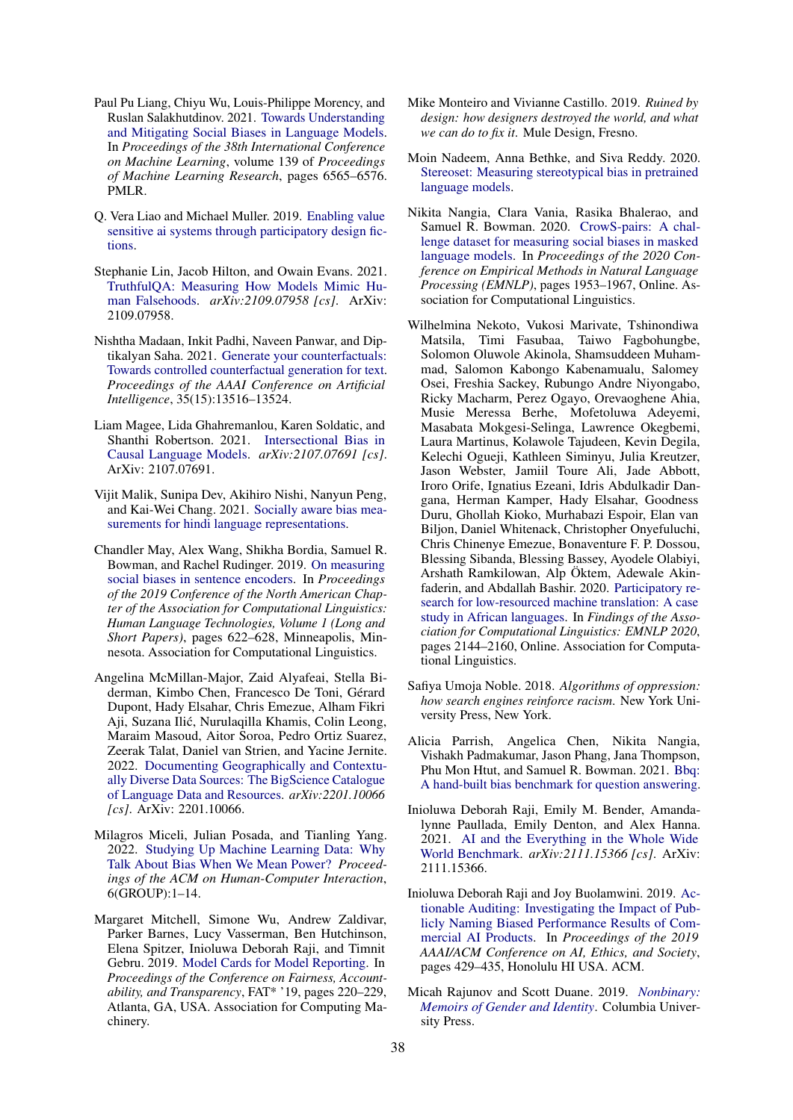- <span id="page-12-2"></span>Paul Pu Liang, Chiyu Wu, Louis-Philippe Morency, and Ruslan Salakhutdinov. 2021. [Towards Understanding](https://proceedings.mlr.press/v139/liang21a.html) [and Mitigating Social Biases in Language Models.](https://proceedings.mlr.press/v139/liang21a.html) In *Proceedings of the 38th International Conference on Machine Learning*, volume 139 of *Proceedings of Machine Learning Research*, pages 6565–6576. PMLR.
- <span id="page-12-10"></span>Q. Vera Liao and Michael Muller. 2019. [Enabling value](http://arxiv.org/abs/1912.07381) [sensitive ai systems through participatory design fic](http://arxiv.org/abs/1912.07381)[tions.](http://arxiv.org/abs/1912.07381)
- <span id="page-12-1"></span>Stephanie Lin, Jacob Hilton, and Owain Evans. 2021. [TruthfulQA: Measuring How Models Mimic Hu](http://arxiv.org/abs/2109.07958)[man Falsehoods.](http://arxiv.org/abs/2109.07958) *arXiv:2109.07958 [cs]*. ArXiv: 2109.07958.
- <span id="page-12-12"></span>Nishtha Madaan, Inkit Padhi, Naveen Panwar, and Diptikalyan Saha. 2021. [Generate your counterfactuals:](https://ojs.aaai.org/index.php/AAAI/article/view/17594) [Towards controlled counterfactual generation for text.](https://ojs.aaai.org/index.php/AAAI/article/view/17594) *Proceedings of the AAAI Conference on Artificial Intelligence*, 35(15):13516–13524.
- <span id="page-12-17"></span>Liam Magee, Lida Ghahremanlou, Karen Soldatic, and Shanthi Robertson. 2021. [Intersectional Bias in](http://arxiv.org/abs/2107.07691) [Causal Language Models.](http://arxiv.org/abs/2107.07691) *arXiv:2107.07691 [cs]*. ArXiv: 2107.07691.
- <span id="page-12-16"></span>Vijit Malik, Sunipa Dev, Akihiro Nishi, Nanyun Peng, and Kai-Wei Chang. 2021. [Socially aware bias mea](http://arxiv.org/abs/2110.07871)[surements for hindi language representations.](http://arxiv.org/abs/2110.07871)
- <span id="page-12-11"></span>Chandler May, Alex Wang, Shikha Bordia, Samuel R. Bowman, and Rachel Rudinger. 2019. [On measuring](https://doi.org/10.18653/v1/N19-1063) [social biases in sentence encoders.](https://doi.org/10.18653/v1/N19-1063) In *Proceedings of the 2019 Conference of the North American Chapter of the Association for Computational Linguistics: Human Language Technologies, Volume 1 (Long and Short Papers)*, pages 622–628, Minneapolis, Minnesota. Association for Computational Linguistics.
- <span id="page-12-18"></span>Angelina McMillan-Major, Zaid Alyafeai, Stella Biderman, Kimbo Chen, Francesco De Toni, Gérard Dupont, Hady Elsahar, Chris Emezue, Alham Fikri Aji, Suzana Ilić, Nurulaqilla Khamis, Colin Leong, Maraim Masoud, Aitor Soroa, Pedro Ortiz Suarez, Zeerak Talat, Daniel van Strien, and Yacine Jernite. 2022. [Documenting Geographically and Contextu](http://arxiv.org/abs/2201.10066)[ally Diverse Data Sources: The BigScience Catalogue](http://arxiv.org/abs/2201.10066) [of Language Data and Resources.](http://arxiv.org/abs/2201.10066) *arXiv:2201.10066 [cs]*. ArXiv: 2201.10066.
- <span id="page-12-15"></span>Milagros Miceli, Julian Posada, and Tianling Yang. 2022. [Studying Up Machine Learning Data: Why](https://doi.org/10.1145/3492853) [Talk About Bias When We Mean Power?](https://doi.org/10.1145/3492853) *Proceedings of the ACM on Human-Computer Interaction*, 6(GROUP):1–14.
- <span id="page-12-7"></span>Margaret Mitchell, Simone Wu, Andrew Zaldivar, Parker Barnes, Lucy Vasserman, Ben Hutchinson, Elena Spitzer, Inioluwa Deborah Raji, and Timnit Gebru. 2019. [Model Cards for Model Reporting.](https://doi.org/10.1145/3287560.3287596) In *Proceedings of the Conference on Fairness, Accountability, and Transparency*, FAT\* '19, pages 220–229, Atlanta, GA, USA. Association for Computing Machinery.
- <span id="page-12-8"></span>Mike Monteiro and Vivianne Castillo. 2019. *Ruined by design: how designers destroyed the world, and what we can do to fix it*. Mule Design, Fresno.
- <span id="page-12-13"></span>Moin Nadeem, Anna Bethke, and Siva Reddy. 2020. [Stereoset: Measuring stereotypical bias in pretrained](http://arxiv.org/abs/2004.09456) [language models.](http://arxiv.org/abs/2004.09456)
- <span id="page-12-3"></span>Nikita Nangia, Clara Vania, Rasika Bhalerao, and Samuel R. Bowman. 2020. [CrowS-pairs: A chal](https://doi.org/10.18653/v1/2020.emnlp-main.154)[lenge dataset for measuring social biases in masked](https://doi.org/10.18653/v1/2020.emnlp-main.154) [language models.](https://doi.org/10.18653/v1/2020.emnlp-main.154) In *Proceedings of the 2020 Conference on Empirical Methods in Natural Language Processing (EMNLP)*, pages 1953–1967, Online. Association for Computational Linguistics.
- <span id="page-12-9"></span>Wilhelmina Nekoto, Vukosi Marivate, Tshinondiwa Matsila, Timi Fasubaa, Taiwo Fagbohungbe, Solomon Oluwole Akinola, Shamsuddeen Muhammad, Salomon Kabongo Kabenamualu, Salomey Osei, Freshia Sackey, Rubungo Andre Niyongabo, Ricky Macharm, Perez Ogayo, Orevaoghene Ahia, Musie Meressa Berhe, Mofetoluwa Adeyemi, Masabata Mokgesi-Selinga, Lawrence Okegbemi, Laura Martinus, Kolawole Tajudeen, Kevin Degila, Kelechi Ogueji, Kathleen Siminyu, Julia Kreutzer, Jason Webster, Jamiil Toure Ali, Jade Abbott, Iroro Orife, Ignatius Ezeani, Idris Abdulkadir Dangana, Herman Kamper, Hady Elsahar, Goodness Duru, Ghollah Kioko, Murhabazi Espoir, Elan van Biljon, Daniel Whitenack, Christopher Onyefuluchi, Chris Chinenye Emezue, Bonaventure F. P. Dossou, Blessing Sibanda, Blessing Bassey, Ayodele Olabiyi, Arshath Ramkilowan, Alp Öktem, Adewale Akinfaderin, and Abdallah Bashir. 2020. [Participatory re](https://doi.org/10.18653/v1/2020.findings-emnlp.195)[search for low-resourced machine translation: A case](https://doi.org/10.18653/v1/2020.findings-emnlp.195) [study in African languages.](https://doi.org/10.18653/v1/2020.findings-emnlp.195) In *Findings of the Association for Computational Linguistics: EMNLP 2020*, pages 2144–2160, Online. Association for Computational Linguistics.
- <span id="page-12-5"></span>Safiya Umoja Noble. 2018. *Algorithms of oppression: how search engines reinforce racism*. New York University Press, New York.
- <span id="page-12-14"></span>Alicia Parrish, Angelica Chen, Nikita Nangia, Vishakh Padmakumar, Jason Phang, Jana Thompson, Phu Mon Htut, and Samuel R. Bowman. 2021. [Bbq:](http://arxiv.org/abs/2110.08193) [A hand-built bias benchmark for question answering.](http://arxiv.org/abs/2110.08193)
- <span id="page-12-0"></span>Inioluwa Deborah Raji, Emily M. Bender, Amandalynne Paullada, Emily Denton, and Alex Hanna. 2021. [AI and the Everything in the Whole Wide](http://arxiv.org/abs/2111.15366) [World Benchmark.](http://arxiv.org/abs/2111.15366) *arXiv:2111.15366 [cs]*. ArXiv: 2111.15366.
- <span id="page-12-6"></span>Inioluwa Deborah Raji and Joy Buolamwini. 2019. [Ac](https://doi.org/10.1145/3306618.3314244)[tionable Auditing: Investigating the Impact of Pub](https://doi.org/10.1145/3306618.3314244)[licly Naming Biased Performance Results of Com](https://doi.org/10.1145/3306618.3314244)[mercial AI Products.](https://doi.org/10.1145/3306618.3314244) In *Proceedings of the 2019 AAAI/ACM Conference on AI, Ethics, and Society*, pages 429–435, Honolulu HI USA. ACM.
- <span id="page-12-4"></span>Micah Rajunov and Scott Duane. 2019. *[Nonbinary:](http://www.jstor.org/stable/10.7312/raju18532) [Memoirs of Gender and Identity](http://www.jstor.org/stable/10.7312/raju18532)*. Columbia University Press.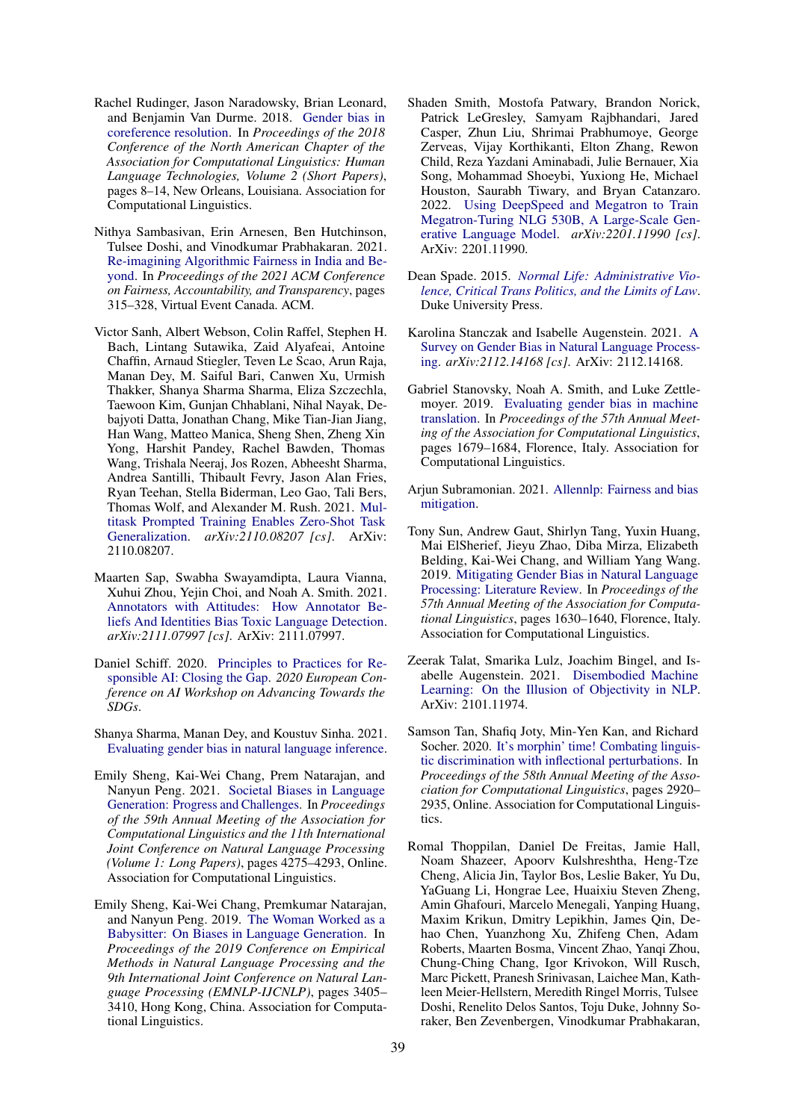- <span id="page-13-3"></span>Rachel Rudinger, Jason Naradowsky, Brian Leonard, and Benjamin Van Durme. 2018. [Gender bias in](https://doi.org/10.18653/v1/N18-2002) [coreference resolution.](https://doi.org/10.18653/v1/N18-2002) In *Proceedings of the 2018 Conference of the North American Chapter of the Association for Computational Linguistics: Human Language Technologies, Volume 2 (Short Papers)*, pages 8–14, New Orleans, Louisiana. Association for Computational Linguistics.
- <span id="page-13-6"></span>Nithya Sambasivan, Erin Arnesen, Ben Hutchinson, Tulsee Doshi, and Vinodkumar Prabhakaran. 2021. [Re-imagining Algorithmic Fairness in India and Be](https://doi.org/10.1145/3442188.3445896)[yond.](https://doi.org/10.1145/3442188.3445896) In *Proceedings of the 2021 ACM Conference on Fairness, Accountability, and Transparency*, pages 315–328, Virtual Event Canada. ACM.
- <span id="page-13-12"></span>Victor Sanh, Albert Webson, Colin Raffel, Stephen H. Bach, Lintang Sutawika, Zaid Alyafeai, Antoine Chaffin, Arnaud Stiegler, Teven Le Scao, Arun Raja, Manan Dey, M. Saiful Bari, Canwen Xu, Urmish Thakker, Shanya Sharma Sharma, Eliza Szczechla, Taewoon Kim, Gunjan Chhablani, Nihal Nayak, Debajyoti Datta, Jonathan Chang, Mike Tian-Jian Jiang, Han Wang, Matteo Manica, Sheng Shen, Zheng Xin Yong, Harshit Pandey, Rachel Bawden, Thomas Wang, Trishala Neeraj, Jos Rozen, Abheesht Sharma, Andrea Santilli, Thibault Fevry, Jason Alan Fries, Ryan Teehan, Stella Biderman, Leo Gao, Tali Bers, Thomas Wolf, and Alexander M. Rush. 2021. [Mul](http://arxiv.org/abs/2110.08207)[titask Prompted Training Enables Zero-Shot Task](http://arxiv.org/abs/2110.08207) [Generalization.](http://arxiv.org/abs/2110.08207) *arXiv:2110.08207 [cs]*. ArXiv: 2110.08207.
- <span id="page-13-14"></span>Maarten Sap, Swabha Swayamdipta, Laura Vianna, Xuhui Zhou, Yejin Choi, and Noah A. Smith. 2021. [Annotators with Attitudes: How Annotator Be](http://arxiv.org/abs/2111.07997)[liefs And Identities Bias Toxic Language Detection.](http://arxiv.org/abs/2111.07997) *arXiv:2111.07997 [cs]*. ArXiv: 2111.07997.
- <span id="page-13-8"></span>Daniel Schiff. 2020. [Principles to Practices for Re](https://arxiv.org/abs/2006.04707)[sponsible AI: Closing the Gap.](https://arxiv.org/abs/2006.04707) *2020 European Conference on AI Workshop on Advancing Towards the SDGs*.
- <span id="page-13-13"></span>Shanya Sharma, Manan Dey, and Koustuv Sinha. 2021. [Evaluating gender bias in natural language inference.](http://arxiv.org/abs/2105.05541)
- <span id="page-13-5"></span>Emily Sheng, Kai-Wei Chang, Prem Natarajan, and Nanyun Peng. 2021. [Societal Biases in Language](https://doi.org/10.18653/v1/2021.acl-long.330) [Generation: Progress and Challenges.](https://doi.org/10.18653/v1/2021.acl-long.330) In *Proceedings of the 59th Annual Meeting of the Association for Computational Linguistics and the 11th International Joint Conference on Natural Language Processing (Volume 1: Long Papers)*, pages 4275–4293, Online. Association for Computational Linguistics.
- <span id="page-13-0"></span>Emily Sheng, Kai-Wei Chang, Premkumar Natarajan, and Nanyun Peng. 2019. [The Woman Worked as a](https://doi.org/10.18653/v1/D19-1339) [Babysitter: On Biases in Language Generation.](https://doi.org/10.18653/v1/D19-1339) In *Proceedings of the 2019 Conference on Empirical Methods in Natural Language Processing and the 9th International Joint Conference on Natural Language Processing (EMNLP-IJCNLP)*, pages 3405– 3410, Hong Kong, China. Association for Computational Linguistics.
- <span id="page-13-15"></span>Shaden Smith, Mostofa Patwary, Brandon Norick, Patrick LeGresley, Samyam Rajbhandari, Jared Casper, Zhun Liu, Shrimai Prabhumoye, George Zerveas, Vijay Korthikanti, Elton Zhang, Rewon Child, Reza Yazdani Aminabadi, Julie Bernauer, Xia Song, Mohammad Shoeybi, Yuxiong He, Michael Houston, Saurabh Tiwary, and Bryan Catanzaro. 2022. [Using DeepSpeed and Megatron to Train](http://arxiv.org/abs/2201.11990) [Megatron-Turing NLG 530B, A Large-Scale Gen](http://arxiv.org/abs/2201.11990)[erative Language Model.](http://arxiv.org/abs/2201.11990) *arXiv:2201.11990 [cs]*. ArXiv: 2201.11990.
- <span id="page-13-2"></span>Dean Spade. 2015. *[Normal Life: Administrative Vio](https://doi.org/10.1215/9780822374794)[lence, Critical Trans Politics, and the Limits of Law](https://doi.org/10.1215/9780822374794)*. Duke University Press.
- <span id="page-13-7"></span>Karolina Stanczak and Isabelle Augenstein. 2021. [A](http://arxiv.org/abs/2112.14168) [Survey on Gender Bias in Natural Language Process](http://arxiv.org/abs/2112.14168)[ing.](http://arxiv.org/abs/2112.14168) *arXiv:2112.14168 [cs]*. ArXiv: 2112.14168.
- <span id="page-13-10"></span>Gabriel Stanovsky, Noah A. Smith, and Luke Zettlemoyer. 2019. [Evaluating gender bias in machine](https://doi.org/10.18653/v1/P19-1164) [translation.](https://doi.org/10.18653/v1/P19-1164) In *Proceedings of the 57th Annual Meeting of the Association for Computational Linguistics*, pages 1679–1684, Florence, Italy. Association for Computational Linguistics.
- <span id="page-13-9"></span>Arjun Subramonian. 2021. [Allennlp: Fairness and bias](https://guide.allennlp.org/fairness) [mitigation.](https://guide.allennlp.org/fairness)
- <span id="page-13-4"></span>Tony Sun, Andrew Gaut, Shirlyn Tang, Yuxin Huang, Mai ElSherief, Jieyu Zhao, Diba Mirza, Elizabeth Belding, Kai-Wei Chang, and William Yang Wang. 2019. [Mitigating Gender Bias in Natural Language](https://doi.org/10.18653/v1/P19-1159) [Processing: Literature Review.](https://doi.org/10.18653/v1/P19-1159) In *Proceedings of the 57th Annual Meeting of the Association for Computational Linguistics*, pages 1630–1640, Florence, Italy. Association for Computational Linguistics.
- <span id="page-13-1"></span>Zeerak Talat, Smarika Lulz, Joachim Bingel, and Isabelle Augenstein. 2021. [Disembodied Machine](http://arxiv.org/abs/2101.11974) [Learning: On the Illusion of Objectivity in NLP.](http://arxiv.org/abs/2101.11974) ArXiv: 2101.11974.
- <span id="page-13-11"></span>Samson Tan, Shafiq Joty, Min-Yen Kan, and Richard Socher. 2020. [It's morphin' time! Combating linguis](https://doi.org/10.18653/v1/2020.acl-main.263)[tic discrimination with inflectional perturbations.](https://doi.org/10.18653/v1/2020.acl-main.263) In *Proceedings of the 58th Annual Meeting of the Association for Computational Linguistics*, pages 2920– 2935, Online. Association for Computational Linguistics.
- <span id="page-13-16"></span>Romal Thoppilan, Daniel De Freitas, Jamie Hall, Noam Shazeer, Apoorv Kulshreshtha, Heng-Tze Cheng, Alicia Jin, Taylor Bos, Leslie Baker, Yu Du, YaGuang Li, Hongrae Lee, Huaixiu Steven Zheng, Amin Ghafouri, Marcelo Menegali, Yanping Huang, Maxim Krikun, Dmitry Lepikhin, James Qin, Dehao Chen, Yuanzhong Xu, Zhifeng Chen, Adam Roberts, Maarten Bosma, Vincent Zhao, Yanqi Zhou, Chung-Ching Chang, Igor Krivokon, Will Rusch, Marc Pickett, Pranesh Srinivasan, Laichee Man, Kathleen Meier-Hellstern, Meredith Ringel Morris, Tulsee Doshi, Renelito Delos Santos, Toju Duke, Johnny Soraker, Ben Zevenbergen, Vinodkumar Prabhakaran,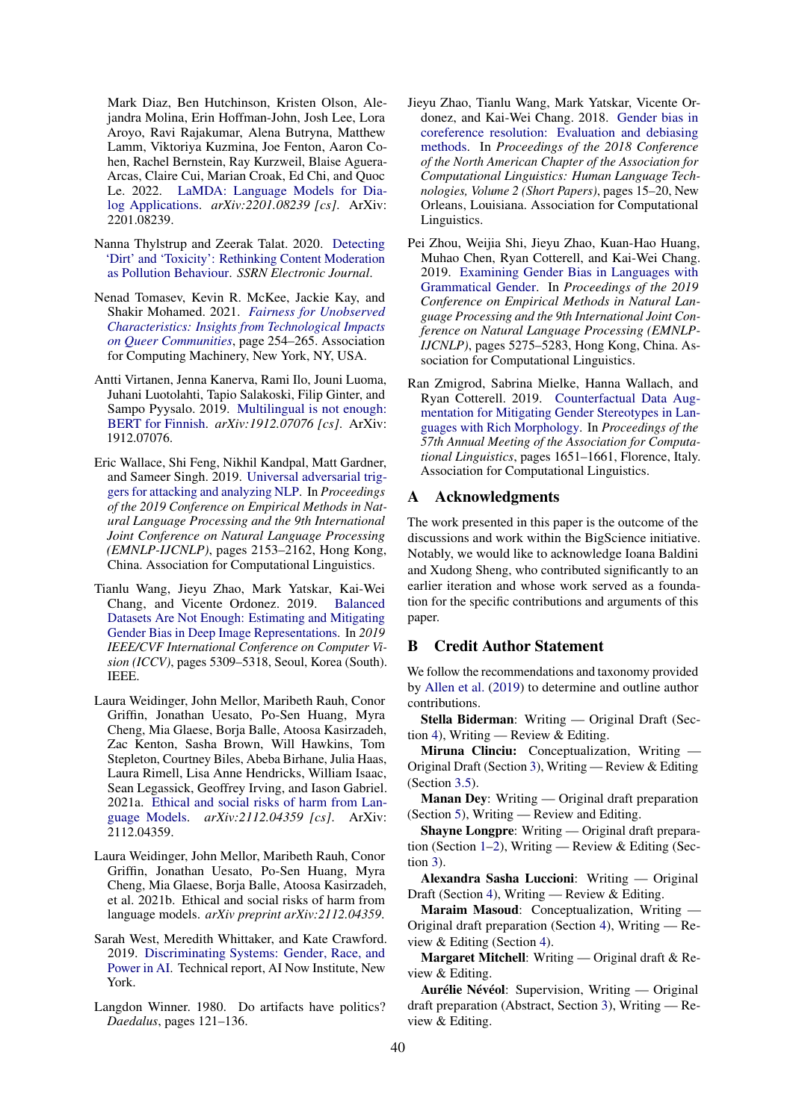Mark Diaz, Ben Hutchinson, Kristen Olson, Alejandra Molina, Erin Hoffman-John, Josh Lee, Lora Aroyo, Ravi Rajakumar, Alena Butryna, Matthew Lamm, Viktoriya Kuzmina, Joe Fenton, Aaron Cohen, Rachel Bernstein, Ray Kurzweil, Blaise Aguera-Arcas, Claire Cui, Marian Croak, Ed Chi, and Quoc Le. 2022. [LaMDA: Language Models for Dia](http://arxiv.org/abs/2201.08239)[log Applications.](http://arxiv.org/abs/2201.08239) *arXiv:2201.08239 [cs]*. ArXiv: 2201.08239.

- <span id="page-14-7"></span>Nanna Thylstrup and Zeerak Talat. 2020. [Detecting](https://doi.org/10.2139/ssrn.3709719) ['Dirt' and 'Toxicity': Rethinking Content Moderation](https://doi.org/10.2139/ssrn.3709719) [as Pollution Behaviour.](https://doi.org/10.2139/ssrn.3709719) *SSRN Electronic Journal*.
- <span id="page-14-3"></span>Nenad Tomasev, Kevin R. McKee, Jackie Kay, and Shakir Mohamed. 2021. *[Fairness for Unobserved](https://doi.org/10.1145/3461702.3462540) [Characteristics: Insights from Technological Impacts](https://doi.org/10.1145/3461702.3462540) [on Queer Communities](https://doi.org/10.1145/3461702.3462540)*, page 254–265. Association for Computing Machinery, New York, NY, USA.
- <span id="page-14-8"></span>Antti Virtanen, Jenna Kanerva, Rami Ilo, Jouni Luoma, Juhani Luotolahti, Tapio Salakoski, Filip Ginter, and Sampo Pyysalo. 2019. [Multilingual is not enough:](http://arxiv.org/abs/1912.07076) [BERT for Finnish.](http://arxiv.org/abs/1912.07076) *arXiv:1912.07076 [cs]*. ArXiv: 1912.07076.
- <span id="page-14-1"></span>Eric Wallace, Shi Feng, Nikhil Kandpal, Matt Gardner, and Sameer Singh. 2019. [Universal adversarial trig](https://doi.org/10.18653/v1/D19-1221)[gers for attacking and analyzing NLP.](https://doi.org/10.18653/v1/D19-1221) In *Proceedings of the 2019 Conference on Empirical Methods in Natural Language Processing and the 9th International Joint Conference on Natural Language Processing (EMNLP-IJCNLP)*, pages 2153–2162, Hong Kong, China. Association for Computational Linguistics.
- <span id="page-14-5"></span>Tianlu Wang, Jieyu Zhao, Mark Yatskar, Kai-Wei Chang, and Vicente Ordonez. 2019. [Balanced](https://doi.org/10.1109/ICCV.2019.00541) [Datasets Are Not Enough: Estimating and Mitigating](https://doi.org/10.1109/ICCV.2019.00541) [Gender Bias in Deep Image Representations.](https://doi.org/10.1109/ICCV.2019.00541) In *2019 IEEE/CVF International Conference on Computer Vision (ICCV)*, pages 5309–5318, Seoul, Korea (South). IEEE.
- <span id="page-14-9"></span>Laura Weidinger, John Mellor, Maribeth Rauh, Conor Griffin, Jonathan Uesato, Po-Sen Huang, Myra Cheng, Mia Glaese, Borja Balle, Atoosa Kasirzadeh, Zac Kenton, Sasha Brown, Will Hawkins, Tom Stepleton, Courtney Biles, Abeba Birhane, Julia Haas, Laura Rimell, Lisa Anne Hendricks, William Isaac, Sean Legassick, Geoffrey Irving, and Iason Gabriel. 2021a. [Ethical and social risks of harm from Lan](http://arxiv.org/abs/2112.04359)[guage Models.](http://arxiv.org/abs/2112.04359) *arXiv:2112.04359 [cs]*. ArXiv: 2112.04359.
- <span id="page-14-11"></span>Laura Weidinger, John Mellor, Maribeth Rauh, Conor Griffin, Jonathan Uesato, Po-Sen Huang, Myra Cheng, Mia Glaese, Borja Balle, Atoosa Kasirzadeh, et al. 2021b. Ethical and social risks of harm from language models. *arXiv preprint arXiv:2112.04359*.
- <span id="page-14-4"></span>Sarah West, Meredith Whittaker, and Kate Crawford. 2019. [Discriminating Systems: Gender, Race, and](https://ainowinstitute.org/ discriminatingsystems.html) [Power in AI.](https://ainowinstitute.org/ discriminatingsystems.html) Technical report, AI Now Institute, New York.
- <span id="page-14-0"></span>Langdon Winner. 1980. Do artifacts have politics? *Daedalus*, pages 121–136.
- <span id="page-14-2"></span>Jieyu Zhao, Tianlu Wang, Mark Yatskar, Vicente Ordonez, and Kai-Wei Chang. 2018. [Gender bias in](https://doi.org/10.18653/v1/N18-2003) [coreference resolution: Evaluation and debiasing](https://doi.org/10.18653/v1/N18-2003) [methods.](https://doi.org/10.18653/v1/N18-2003) In *Proceedings of the 2018 Conference of the North American Chapter of the Association for Computational Linguistics: Human Language Technologies, Volume 2 (Short Papers)*, pages 15–20, New Orleans, Louisiana. Association for Computational Linguistics.
- <span id="page-14-6"></span>Pei Zhou, Weijia Shi, Jieyu Zhao, Kuan-Hao Huang, Muhao Chen, Ryan Cotterell, and Kai-Wei Chang. 2019. [Examining Gender Bias in Languages with](https://doi.org/10.18653/v1/D19-1531) [Grammatical Gender.](https://doi.org/10.18653/v1/D19-1531) In *Proceedings of the 2019 Conference on Empirical Methods in Natural Language Processing and the 9th International Joint Conference on Natural Language Processing (EMNLP-IJCNLP)*, pages 5275–5283, Hong Kong, China. Association for Computational Linguistics.
- <span id="page-14-10"></span>Ran Zmigrod, Sabrina Mielke, Hanna Wallach, and Ryan Cotterell. 2019. [Counterfactual Data Aug](https://doi.org/10.18653/v1/P19-1161)[mentation for Mitigating Gender Stereotypes in Lan](https://doi.org/10.18653/v1/P19-1161)[guages with Rich Morphology.](https://doi.org/10.18653/v1/P19-1161) In *Proceedings of the 57th Annual Meeting of the Association for Computational Linguistics*, pages 1651–1661, Florence, Italy. Association for Computational Linguistics.

## A Acknowledgments

The work presented in this paper is the outcome of the discussions and work within the BigScience initiative. Notably, we would like to acknowledge Ioana Baldini and Xudong Sheng, who contributed significantly to an earlier iteration and whose work served as a foundation for the specific contributions and arguments of this paper.

### B Credit Author Statement

We follow the recommendations and taxonomy provided by [Allen et al.](#page-8-21) [\(2019\)](#page-8-21) to determine and outline author contributions.

Stella Biderman: Writing — Original Draft (Sec-tion [4\)](#page-4-1), Writing — Review & Editing.

Miruna Clinciu: Conceptualization, Writing — Original Draft (Section [3\)](#page-2-0), Writing — Review & Editing (Section [3.5\)](#page-4-2).

Manan Dey: Writing — Original draft preparation (Section [5\)](#page-5-0), Writing — Review and Editing.

Shayne Longpre: Writing — Original draft preparation (Section [1](#page-0-1)[–2\)](#page-0-2), Writing — Review & Editing (Section [3\)](#page-2-0).

Alexandra Sasha Luccioni: Writing — Original Draft (Section [4\)](#page-4-1), Writing — Review & Editing.

Maraim Masoud: Conceptualization, Writing -Original draft preparation (Section [4\)](#page-4-1), Writing — Review & Editing (Section [4\)](#page-4-1).

Margaret Mitchell: Writing — Original draft & Review & Editing.

Aurélie Névéol: Supervision, Writing — Original draft preparation (Abstract, Section [3\)](#page-2-0), Writing — Review & Editing.